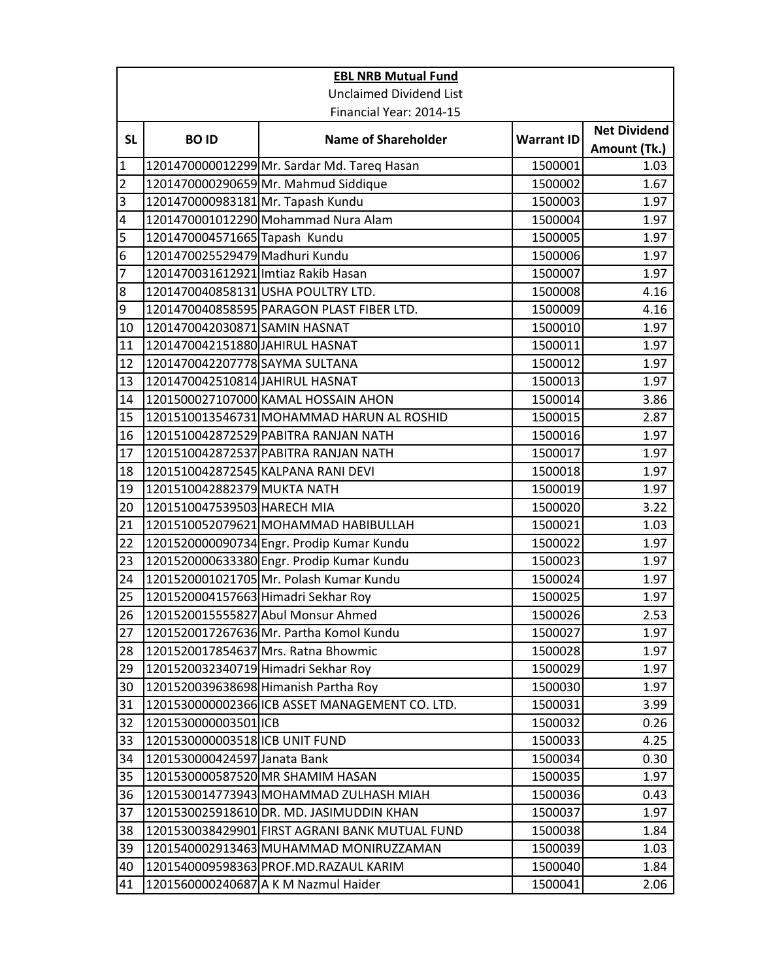|                | <b>EBL NRB Mutual Fund</b>          |                                                |                   |                                     |  |
|----------------|-------------------------------------|------------------------------------------------|-------------------|-------------------------------------|--|
|                | <b>Unclaimed Dividend List</b>      |                                                |                   |                                     |  |
|                | Financial Year: 2014-15             |                                                |                   |                                     |  |
| <b>SL</b>      | <b>BOID</b>                         | <b>Name of Shareholder</b>                     | <b>Warrant ID</b> | <b>Net Dividend</b><br>Amount (Tk.) |  |
| $\mathbf{1}$   |                                     | 1201470000012299 Mr. Sardar Md. Tareq Hasan    | 1500001           | 1.03                                |  |
| $\overline{2}$ |                                     | 1201470000290659 Mr. Mahmud Siddique           | 1500002           | 1.67                                |  |
| 3              | 1201470000983181 Mr. Tapash Kundu   |                                                | 1500003           | 1.97                                |  |
| $\overline{4}$ |                                     | 1201470001012290 Mohammad Nura Alam            | 1500004           | 1.97                                |  |
| 5              | 1201470004571665 Tapash Kundu       |                                                | 1500005           | 1.97                                |  |
| 6              | 1201470025529479 Madhuri Kundu      |                                                | 1500006           | 1.97                                |  |
| $\overline{7}$ | 1201470031612921 Imtiaz Rakib Hasan |                                                | 1500007           | 1.97                                |  |
| 8              |                                     | 1201470040858131USHA POULTRY LTD.              | 1500008           | 4.16                                |  |
| 9              |                                     | 1201470040858595 PARAGON PLAST FIBER LTD.      | 1500009           | 4.16                                |  |
| 10             | 1201470042030871 SAMIN HASNAT       |                                                | 1500010           | 1.97                                |  |
| 11             | 1201470042151880 JAHIRUL HASNAT     |                                                | 1500011           | 1.97                                |  |
| 12             | 1201470042207778 SAYMA SULTANA      |                                                | 1500012           | 1.97                                |  |
| 13             | 1201470042510814 JAHIRUL HASNAT     |                                                | 1500013           | 1.97                                |  |
| 14             |                                     | 1201500027107000 KAMAL HOSSAIN AHON            | 1500014           | 3.86                                |  |
| 15             |                                     | 1201510013546731 MOHAMMAD HARUN AL ROSHID      | 1500015           | 2.87                                |  |
| 16             |                                     | 1201510042872529 PABITRA RANJAN NATH           | 1500016           | 1.97                                |  |
| 17             |                                     | 1201510042872537 PABITRA RANJAN NATH           | 1500017           | 1.97                                |  |
| 18             |                                     | 1201510042872545 KALPANA RANI DEVI             | 1500018           | 1.97                                |  |
| 19             | 1201510042882379 MUKTA NATH         |                                                | 1500019           | 1.97                                |  |
| 20             | 1201510047539503 HARECH MIA         |                                                | 1500020           | 3.22                                |  |
| 21             |                                     | 1201510052079621 MOHAMMAD HABIBULLAH           | 1500021           | 1.03                                |  |
| 22             |                                     | 1201520000090734 Engr. Prodip Kumar Kundu      | 1500022           | 1.97                                |  |
| 23             |                                     | 1201520000633380 Engr. Prodip Kumar Kundu      | 1500023           | 1.97                                |  |
| 24             |                                     | 1201520001021705 Mr. Polash Kumar Kundu        | 1500024           | 1.97                                |  |
| 25             | 1201520004157663 Himadri Sekhar Roy |                                                | 1500025           | 1.97                                |  |
| 26             |                                     | 1201520015555827 Abul Monsur Ahmed             | 1500026           | 2.53                                |  |
| 27             |                                     | 1201520017267636 Mr. Partha Komol Kundu        | 1500027           | 1.97                                |  |
| 28             |                                     | 1201520017854637 Mrs. Ratna Bhowmic            | 1500028           | 1.97                                |  |
| 29             | 1201520032340719 Himadri Sekhar Roy |                                                | 1500029           | 1.97                                |  |
| 30             |                                     | 1201520039638698 Himanish Partha Roy           | 1500030           | 1.97                                |  |
| 31             |                                     | 1201530000002366 ICB ASSET MANAGEMENT CO. LTD. | 1500031           | 3.99                                |  |
| 32             | 1201530000003501 ICB                |                                                | 1500032           | 0.26                                |  |
| 33             | 1201530000003518 ICB UNIT FUND      |                                                | 1500033           | 4.25                                |  |
| 34             | 1201530000424597 Janata Bank        |                                                | 1500034           | 0.30                                |  |
| 35             |                                     | 1201530000587520 MR SHAMIM HASAN               | 1500035           | 1.97                                |  |
| 36             |                                     | 1201530014773943 MOHAMMAD ZULHASH MIAH         | 1500036           | 0.43                                |  |
| 37             |                                     | 1201530025918610 DR. MD. JASIMUDDIN KHAN       | 1500037           | 1.97                                |  |
| 38             |                                     | 1201530038429901 FIRST AGRANI BANK MUTUAL FUND | 1500038           | 1.84                                |  |
| 39             |                                     | 1201540002913463 MUHAMMAD MONIRUZZAMAN         | 1500039           | 1.03                                |  |
| 40             |                                     | 1201540009598363 PROF.MD.RAZAUL KARIM          | 1500040           | 1.84                                |  |
| 41             |                                     | 1201560000240687 A K M Nazmul Haider           | 1500041           | 2.06                                |  |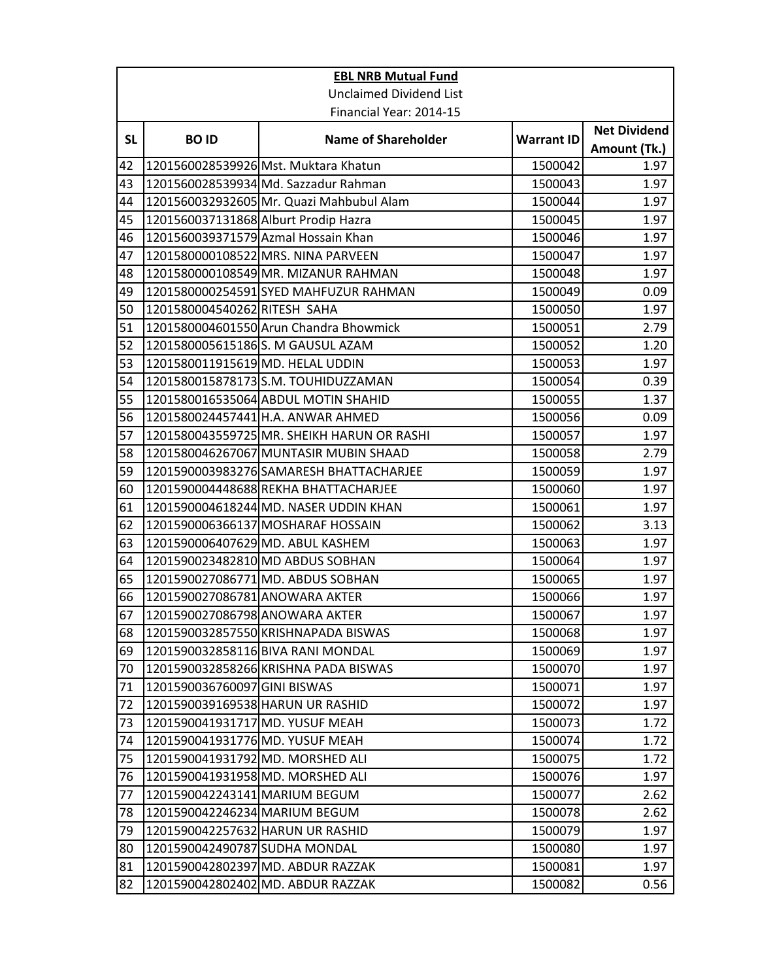|           | <b>EBL NRB Mutual Fund</b>           |                                            |                   |                                     |  |
|-----------|--------------------------------------|--------------------------------------------|-------------------|-------------------------------------|--|
|           | <b>Unclaimed Dividend List</b>       |                                            |                   |                                     |  |
|           |                                      | Financial Year: 2014-15                    |                   |                                     |  |
| <b>SL</b> | <b>BOID</b>                          | <b>Name of Shareholder</b>                 | <b>Warrant ID</b> | <b>Net Dividend</b><br>Amount (Tk.) |  |
| 42        |                                      | 1201560028539926 Mst. Muktara Khatun       | 1500042           | 1.97                                |  |
| 43        |                                      | 1201560028539934 Md. Sazzadur Rahman       | 1500043           | 1.97                                |  |
| 44        |                                      | 1201560032932605 Mr. Quazi Mahbubul Alam   | 1500044           | 1.97                                |  |
| 45        | 1201560037131868 Alburt Prodip Hazra |                                            | 1500045           | 1.97                                |  |
| 46        |                                      | 1201560039371579 Azmal Hossain Khan        | 1500046           | 1.97                                |  |
| 47        |                                      | 1201580000108522 MRS. NINA PARVEEN         | 1500047           | 1.97                                |  |
| 48        |                                      | 1201580000108549 MR. MIZANUR RAHMAN        | 1500048           | 1.97                                |  |
| 49        |                                      | 1201580000254591 SYED MAHFUZUR RAHMAN      | 1500049           | 0.09                                |  |
| 50        | 1201580004540262 RITESH SAHA         |                                            | 1500050           | 1.97                                |  |
| 51        |                                      | 1201580004601550 Arun Chandra Bhowmick     | 1500051           | 2.79                                |  |
| 52        |                                      | 1201580005615186S. M GAUSUL AZAM           | 1500052           | 1.20                                |  |
| 53        | 1201580011915619 MD. HELAL UDDIN     |                                            | 1500053           | 1.97                                |  |
| 54        |                                      | 1201580015878173S.M. TOUHIDUZZAMAN         | 1500054           | 0.39                                |  |
| 55        |                                      | 1201580016535064 ABDUL MOTIN SHAHID        | 1500055           | 1.37                                |  |
| 56        |                                      | 1201580024457441 H.A. ANWAR AHMED          | 1500056           | 0.09                                |  |
| 57        |                                      | 1201580043559725 MR. SHEIKH HARUN OR RASHI | 1500057           | 1.97                                |  |
| 58        |                                      | 1201580046267067 MUNTASIR MUBIN SHAAD      | 1500058           | 2.79                                |  |
| 59        |                                      | 1201590003983276 SAMARESH BHATTACHARJEE    | 1500059           | 1.97                                |  |
| 60        |                                      | 1201590004448688 REKHA BHATTACHARJEE       | 1500060           | 1.97                                |  |
| 61        |                                      | 1201590004618244 MD. NASER UDDIN KHAN      | 1500061           | 1.97                                |  |
| 62        |                                      | 1201590006366137 MOSHARAF HOSSAIN          | 1500062           | 3.13                                |  |
| 63        | 1201590006407629 MD. ABUL KASHEM     |                                            | 1500063           | 1.97                                |  |
| 64        |                                      | 1201590023482810 MD ABDUS SOBHAN           | 1500064           | 1.97                                |  |
| 65        |                                      | 1201590027086771 MD. ABDUS SOBHAN          | 1500065           | 1.97                                |  |
| 66        | 1201590027086781 ANOWARA AKTER       |                                            | 1500066           | 1.97                                |  |
| 67        | 1201590027086798 ANOWARA AKTER       |                                            | 1500067           | 1.97                                |  |
| 68        |                                      | 1201590032857550 KRISHNAPADA BISWAS        | 1500068           | 1.97                                |  |
| 69        |                                      | 1201590032858116 BIVA RANI MONDAL          | 1500069           | 1.97                                |  |
| 70        |                                      | 1201590032858266 KRISHNA PADA BISWAS       | 1500070           | 1.97                                |  |
| 71        | 1201590036760097 GINI BISWAS         |                                            | 1500071           | 1.97                                |  |
| 72        | 1201590039169538 HARUN UR RASHID     |                                            | 1500072           | 1.97                                |  |
| 73        | 1201590041931717 MD. YUSUF MEAH      |                                            | 1500073           | 1.72                                |  |
| 74        | 1201590041931776 MD. YUSUF MEAH      |                                            | 1500074           | 1.72                                |  |
| 75        | 1201590041931792 MD. MORSHED ALI     |                                            | 1500075           | 1.72                                |  |
| 76        | 1201590041931958 MD. MORSHED ALI     |                                            | 1500076           | 1.97                                |  |
| 77        | 1201590042243141 MARIUM BEGUM        |                                            | 1500077           | 2.62                                |  |
| 78        | 1201590042246234 MARIUM BEGUM        |                                            | 1500078           | 2.62                                |  |
| 79        | 1201590042257632 HARUN UR RASHID     |                                            | 1500079           | 1.97                                |  |
| 80        | 1201590042490787 SUDHA MONDAL        |                                            | 1500080           | 1.97                                |  |
| 81        |                                      | 1201590042802397 MD. ABDUR RAZZAK          | 1500081           | 1.97                                |  |
| 82        |                                      | 1201590042802402 MD. ABDUR RAZZAK          | 1500082           | 0.56                                |  |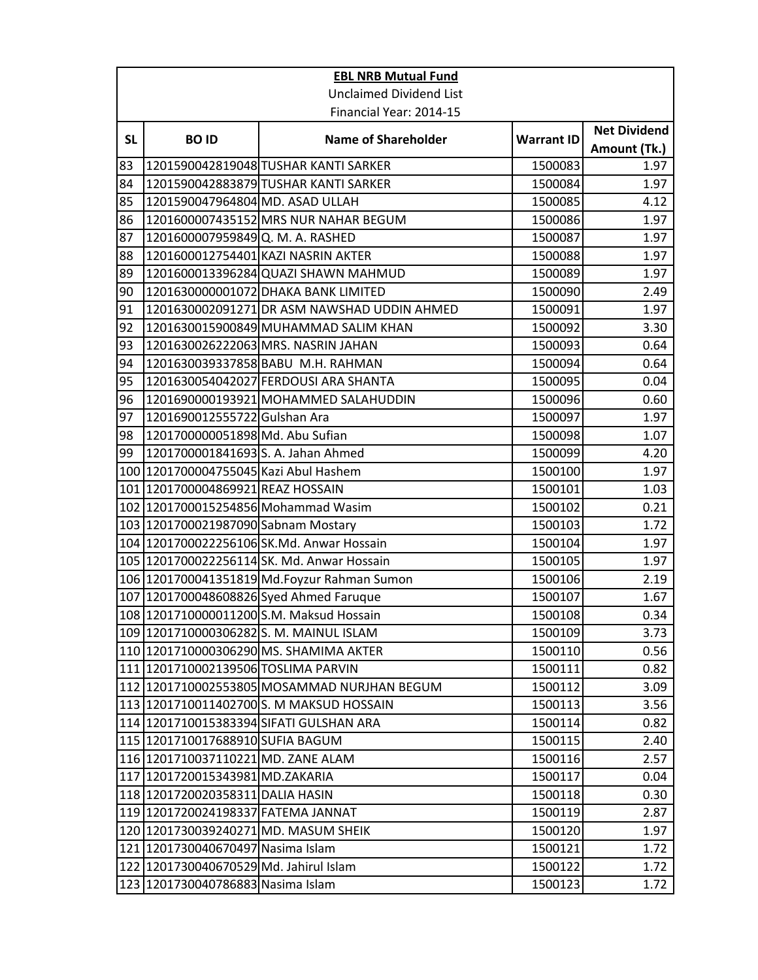| <b>EBL NRB Mutual Fund</b> |                                        |                                              |                   |                                     |  |
|----------------------------|----------------------------------------|----------------------------------------------|-------------------|-------------------------------------|--|
|                            | <b>Unclaimed Dividend List</b>         |                                              |                   |                                     |  |
|                            | Financial Year: 2014-15                |                                              |                   |                                     |  |
| <b>SL</b>                  | <b>BOID</b>                            | <b>Name of Shareholder</b>                   | <b>Warrant ID</b> | <b>Net Dividend</b><br>Amount (Tk.) |  |
| 83                         |                                        | 1201590042819048 TUSHAR KANTI SARKER         | 1500083           | 1.97                                |  |
| 84                         |                                        | 1201590042883879 TUSHAR KANTI SARKER         | 1500084           | 1.97                                |  |
| 85                         | 1201590047964804 MD. ASAD ULLAH        |                                              | 1500085           | 4.12                                |  |
| 86                         |                                        | 1201600007435152 MRS NUR NAHAR BEGUM         | 1500086           | 1.97                                |  |
| 87                         | 1201600007959849 Q. M. A. RASHED       |                                              | 1500087           | 1.97                                |  |
| 88                         |                                        | 1201600012754401 KAZI NASRIN AKTER           | 1500088           | 1.97                                |  |
| 89                         |                                        | 1201600013396284 QUAZI SHAWN MAHMUD          | 1500089           | 1.97                                |  |
| 90                         |                                        | 1201630000001072 DHAKA BANK LIMITED          | 1500090           | 2.49                                |  |
| 91                         |                                        | 1201630002091271 DR ASM NAWSHAD UDDIN AHMED  | 1500091           | 1.97                                |  |
| 92                         |                                        | 1201630015900849 MUHAMMAD SALIM KHAN         | 1500092           | 3.30                                |  |
| 93                         |                                        | 1201630026222063 MRS. NASRIN JAHAN           | 1500093           | 0.64                                |  |
| 94                         |                                        | 1201630039337858 BABU M.H. RAHMAN            | 1500094           | 0.64                                |  |
| 95                         |                                        | 1201630054042027 FERDOUSI ARA SHANTA         | 1500095           | 0.04                                |  |
| 96                         |                                        | 1201690000193921 MOHAMMED SALAHUDDIN         | 1500096           | 0.60                                |  |
| 97                         | 1201690012555722 Gulshan Ara           |                                              | 1500097           | 1.97                                |  |
| 98                         | 1201700000051898 Md. Abu Sufian        |                                              | 1500098           | 1.07                                |  |
| 99                         | 1201700001841693 S. A. Jahan Ahmed     |                                              | 1500099           | 4.20                                |  |
|                            | 100 1201700004755045 Kazi Abul Hashem  |                                              | 1500100           | 1.97                                |  |
|                            | 101 1201700004869921 REAZ HOSSAIN      |                                              | 1500101           | 1.03                                |  |
|                            |                                        | 102 1201700015254856 Mohammad Wasim          | 1500102           | 0.21                                |  |
|                            | 103 1201700021987090 Sabnam Mostary    |                                              | 1500103           | 1.72                                |  |
|                            |                                        | 104 1201700022256106 SK.Md. Anwar Hossain    | 1500104           | 1.97                                |  |
|                            |                                        | 105 1201700022256114 SK. Md. Anwar Hossain   | 1500105           | 1.97                                |  |
|                            |                                        | 106 1201700041351819 Md. Foyzur Rahman Sumon | 1500106           | 2.19                                |  |
|                            |                                        | 107 1201700048608826 Syed Ahmed Faruque      | 1500107           | 1.67                                |  |
|                            |                                        | 108 1201710000011200 S.M. Maksud Hossain     | 1500108           | 0.34                                |  |
|                            |                                        | 109 1201710000306282S. M. MAINUL ISLAM       | 1500109           | 3.73                                |  |
|                            |                                        | 110 1201710000306290 MS. SHAMIMA AKTER       | 1500110           | 0.56                                |  |
|                            | 111 1201710002139506 TOSLIMA PARVIN    |                                              | 1500111           | 0.82                                |  |
|                            |                                        | 112 1201710002553805 MOSAMMAD NURJHAN BEGUM  | 1500112           | 3.09                                |  |
|                            |                                        | 113 1201710011402700 S. M MAKSUD HOSSAIN     | 1500113           | 3.56                                |  |
|                            |                                        | 114 1201710015383394 SIFATI GULSHAN ARA      | 1500114           | 0.82                                |  |
|                            | 115   1201710017688910 SUFIA BAGUM     |                                              | 1500115           | 2.40                                |  |
|                            | 116 1201710037110221 MD. ZANE ALAM     |                                              | 1500116           | 2.57                                |  |
|                            | 117 1201720015343981 MD.ZAKARIA        |                                              | 1500117           | 0.04                                |  |
|                            | 118 1201720020358311 DALIA HASIN       |                                              | 1500118           | 0.30                                |  |
|                            | 119 1201720024198337 FATEMA JANNAT     |                                              | 1500119           | 2.87                                |  |
|                            | 120 1201730039240271 MD. MASUM SHEIK   |                                              | 1500120           | 1.97                                |  |
|                            | 121 1201730040670497 Nasima Islam      |                                              | 1500121           | 1.72                                |  |
|                            | 122 1201730040670529 Md. Jahirul Islam |                                              | 1500122           | 1.72                                |  |
|                            | 123 1201730040786883 Nasima Islam      |                                              | 1500123           | 1.72                                |  |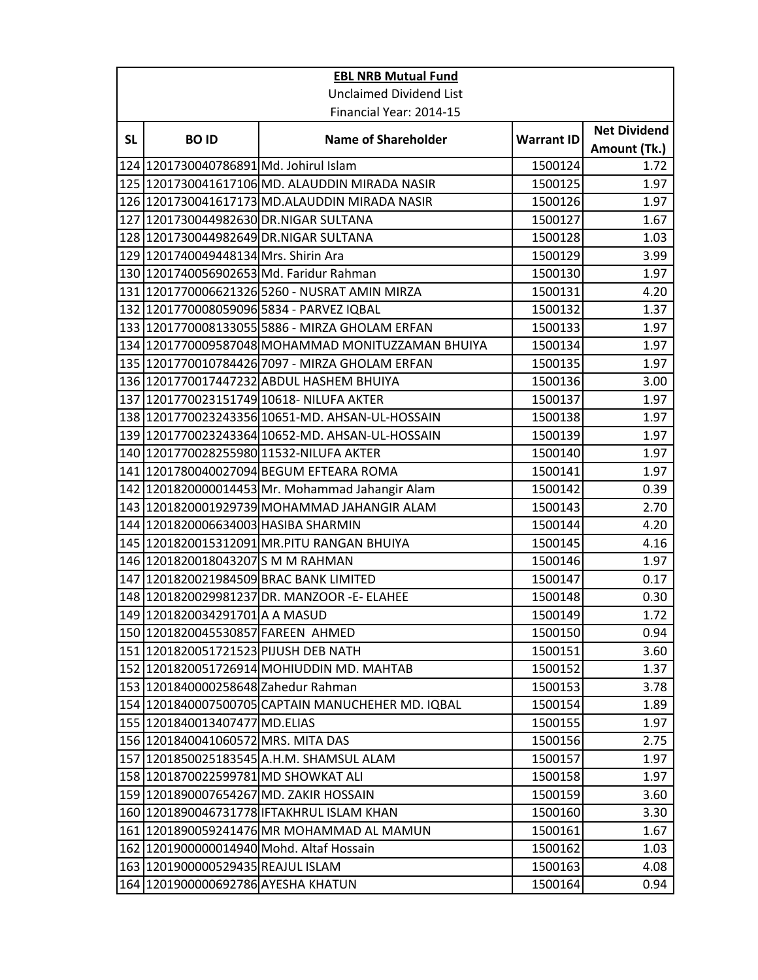|           | <b>EBL NRB Mutual Fund</b>             |                                                   |                   |                     |  |
|-----------|----------------------------------------|---------------------------------------------------|-------------------|---------------------|--|
|           |                                        | <b>Unclaimed Dividend List</b>                    |                   |                     |  |
|           | Financial Year: 2014-15                |                                                   |                   |                     |  |
|           |                                        | <b>Name of Shareholder</b>                        |                   | <b>Net Dividend</b> |  |
| <b>SL</b> | <b>BOID</b>                            |                                                   | <b>Warrant ID</b> | Amount (Tk.)        |  |
|           | 124 1201730040786891 Md. Johirul Islam |                                                   | 1500124           | 1.72                |  |
|           |                                        | 125 1201730041617106 MD. ALAUDDIN MIRADA NASIR    | 1500125           | 1.97                |  |
|           |                                        | 126 1201730041617173 MD.ALAUDDIN MIRADA NASIR     | 1500126           | 1.97                |  |
|           |                                        | 127 1201730044982630 DR.NIGAR SULTANA             | 1500127           | 1.67                |  |
|           |                                        | 128 1201730044982649 DR.NIGAR SULTANA             | 1500128           | 1.03                |  |
|           | 129 1201740049448134 Mrs. Shirin Ara   |                                                   | 1500129           | 3.99                |  |
|           |                                        | 130 1201740056902653 Md. Faridur Rahman           | 1500130           | 1.97                |  |
|           |                                        | 131 1201770006621326 5260 - NUSRAT AMIN MIRZA     | 1500131           | 4.20                |  |
|           |                                        | 132 1201770008059096 5834 - PARVEZ IQBAL          | 1500132           | 1.37                |  |
|           |                                        | 133 1201770008133055 5886 - MIRZA GHOLAM ERFAN    | 1500133           | 1.97                |  |
|           |                                        | 134 1201770009587048 MOHAMMAD MONITUZZAMAN BHUIYA | 1500134           | 1.97                |  |
|           |                                        | 135 1201770010784426 7097 - MIRZA GHOLAM ERFAN    | 1500135           | 1.97                |  |
|           |                                        | 136 1201770017447232 ABDUL HASHEM BHUIYA          | 1500136           | 3.00                |  |
|           |                                        | 137 1201770023151749 10618- NILUFA AKTER          | 1500137           | 1.97                |  |
|           |                                        | 138 1201770023243356 10651-MD. AHSAN-UL-HOSSAIN   | 1500138           | 1.97                |  |
|           |                                        | 139 1201770023243364 10652-MD. AHSAN-UL-HOSSAIN   | 1500139           | 1.97                |  |
|           |                                        | 140 1201770028255980 11532-NILUFA AKTER           | 1500140           | 1.97                |  |
|           |                                        | 141 1201780040027094 BEGUM EFTEARA ROMA           | 1500141           | 1.97                |  |
|           |                                        | 142 1201820000014453 Mr. Mohammad Jahangir Alam   | 1500142           | 0.39                |  |
|           |                                        | 143 1201820001929739 MOHAMMAD JAHANGIR ALAM       | 1500143           | 2.70                |  |
|           | 144 1201820006634003 HASIBA SHARMIN    |                                                   | 1500144           | 4.20                |  |
|           |                                        | 145 1201820015312091 MR.PITU RANGAN BHUIYA        | 1500145           | 4.16                |  |
|           | 146 1201820018043207 S M M RAHMAN      |                                                   | 1500146           | 1.97                |  |
|           |                                        | 147 1201820021984509 BRAC BANK LIMITED            | 1500147           | 0.17                |  |
|           |                                        | 148 1201820029981237 DR. MANZOOR - E- ELAHEE      | 1500148           | 0.30                |  |
|           | 149 1201820034291701 A A MASUD         |                                                   | 1500149           | 1.72                |  |
|           | 150 1201820045530857 FAREEN AHMED      |                                                   | 1500150           | 0.94                |  |
|           | 151 1201820051721523 PIJUSH DEB NATH   |                                                   | 1500151           | 3.60                |  |
|           |                                        | 152 1201820051726914 MOHIUDDIN MD. MAHTAB         | 1500152           | 1.37                |  |
|           | 153 1201840000258648 Zahedur Rahman    |                                                   | 1500153           | 3.78                |  |
|           |                                        | 154 1201840007500705 CAPTAIN MANUCHEHER MD. IQBAL | 1500154           | 1.89                |  |
|           | 155 1201840013407477 MD.ELIAS          |                                                   | 1500155           | 1.97                |  |
|           | 156 1201840041060572 MRS. MITA DAS     |                                                   | 1500156           | 2.75                |  |
| 157       |                                        | 1201850025183545 A.H.M. SHAMSUL ALAM              | 1500157           | 1.97                |  |
|           | 158 1201870022599781 MD SHOWKAT ALI    |                                                   | 1500158           | 1.97                |  |
|           |                                        | 159 1201890007654267 MD. ZAKIR HOSSAIN            | 1500159           | 3.60                |  |
|           |                                        | 160 1201890046731778 IFTAKHRUL ISLAM KHAN         | 1500160           | 3.30                |  |
|           |                                        | 161 1201890059241476 MR MOHAMMAD AL MAMUN         | 1500161           | 1.67                |  |
|           |                                        | 162 1201900000014940 Mohd. Altaf Hossain          | 1500162           | 1.03                |  |
|           | 163   1201900000529435   REAJUL ISLAM  |                                                   | 1500163           | 4.08                |  |
|           | 164 1201900000692786 AYESHA KHATUN     |                                                   | 1500164           | 0.94                |  |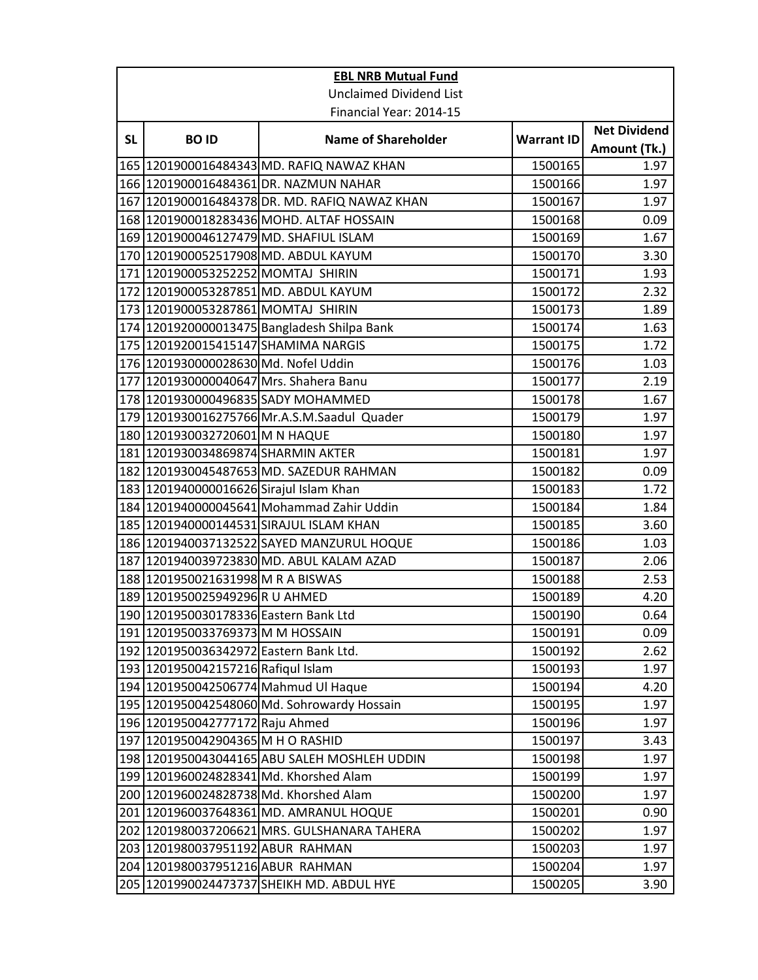|           | <b>EBL NRB Mutual Fund</b>              |                                               |                   |                     |  |  |
|-----------|-----------------------------------------|-----------------------------------------------|-------------------|---------------------|--|--|
|           | <b>Unclaimed Dividend List</b>          |                                               |                   |                     |  |  |
|           |                                         | Financial Year: 2014-15                       |                   |                     |  |  |
| <b>SL</b> | <b>BOID</b>                             | <b>Name of Shareholder</b>                    | <b>Warrant ID</b> | <b>Net Dividend</b> |  |  |
|           |                                         |                                               |                   | Amount (Tk.)        |  |  |
|           |                                         | 165 1201900016484343 MD. RAFIQ NAWAZ KHAN     | 1500165           | 1.97                |  |  |
|           |                                         | 166 1201900016484361 DR. NAZMUN NAHAR         | 1500166           | 1.97                |  |  |
|           |                                         | 167 1201900016484378 DR. MD. RAFIQ NAWAZ KHAN | 1500167           | 1.97                |  |  |
|           |                                         | 168 1201900018283436 MOHD. ALTAF HOSSAIN      | 1500168           | 0.09                |  |  |
|           |                                         | 169 1201900046127479 MD. SHAFIUL ISLAM        | 1500169           | 1.67                |  |  |
|           |                                         | 170 1201900052517908 MD. ABDUL KAYUM          | 1500170           | 3.30                |  |  |
|           | 171 1201900053252252 MOMTAJ SHIRIN      |                                               | 1500171           | 1.93                |  |  |
|           |                                         | 172 1201900053287851 MD. ABDUL KAYUM          | 1500172           | 2.32                |  |  |
|           | 173 1201900053287861 MOMTAJ SHIRIN      |                                               | 1500173           | 1.89                |  |  |
|           |                                         | 174 1201920000013475 Bangladesh Shilpa Bank   | 1500174           | 1.63                |  |  |
|           | 175 1201920015415147 SHAMIMA NARGIS     |                                               | 1500175           | 1.72                |  |  |
|           | 176 1201930000028630 Md. Nofel Uddin    |                                               | 1500176           | 1.03                |  |  |
|           | 177 1201930000040647 Mrs. Shahera Banu  |                                               | 1500177           | 2.19                |  |  |
|           | 178 1201930000496835 SADY MOHAMMED      |                                               | 1500178           | 1.67                |  |  |
|           |                                         | 179 1201930016275766 Mr.A.S.M.Saadul Quader   | 1500179           | 1.97                |  |  |
|           | 180 1201930032720601 M N HAQUE          |                                               | 1500180           | 1.97                |  |  |
|           | 181 1201930034869874 SHARMIN AKTER      |                                               | 1500181           | 1.97                |  |  |
|           |                                         | 182 1201930045487653 MD. SAZEDUR RAHMAN       | 1500182           | 0.09                |  |  |
|           | 183 1201940000016626 Sirajul Islam Khan |                                               | 1500183           | 1.72                |  |  |
|           |                                         | 184 1201940000045641 Mohammad Zahir Uddin     | 1500184           | 1.84                |  |  |
|           |                                         | 185 1201940000144531 SIRAJUL ISLAM KHAN       | 1500185           | 3.60                |  |  |
|           |                                         | 186 1201940037132522 SAYED MANZURUL HOQUE     | 1500186           | 1.03                |  |  |
|           |                                         | 187 1201940039723830 MD. ABUL KALAM AZAD      | 1500187           | 2.06                |  |  |
|           | 188 1201950021631998 M R A BISWAS       |                                               | 1500188           | 2.53                |  |  |
|           | 189 1201950025949296 R U AHMED          |                                               | 1500189           | 4.20                |  |  |
|           | 190 1201950030178336 Eastern Bank Ltd   |                                               | 1500190           | 0.64                |  |  |
|           | 191 1201950033769373 M M HOSSAIN        |                                               | 1500191           | 0.09                |  |  |
|           | 192 1201950036342972 Eastern Bank Ltd.  |                                               | 1500192           | 2.62                |  |  |
|           | 193 1201950042157216 Rafiqul Islam      |                                               | 1500193           | 1.97                |  |  |
|           | 194 1201950042506774 Mahmud UI Haque    |                                               | 1500194           | 4.20                |  |  |
|           |                                         | 195 1201950042548060 Md. Sohrowardy Hossain   | 1500195           | 1.97                |  |  |
|           | 196 1201950042777172 Raju Ahmed         |                                               | 1500196           | 1.97                |  |  |
|           | 197 1201950042904365 M H O RASHID       |                                               | 1500197           | 3.43                |  |  |
|           |                                         | 198 1201950043044165 ABU SALEH MOSHLEH UDDIN  | 1500198           | 1.97                |  |  |
|           |                                         | 199 1201960024828341 Md. Khorshed Alam        | 1500199           | 1.97                |  |  |
|           |                                         | 200 1201960024828738 Md. Khorshed Alam        | 1500200           | 1.97                |  |  |
|           |                                         | 201 1201960037648361 MD. AMRANUL HOQUE        | 1500201           | 0.90                |  |  |
|           |                                         | 202 1201980037206621 MRS. GULSHANARA TAHERA   | 1500202           | 1.97                |  |  |
|           | 203 1201980037951192 ABUR RAHMAN        |                                               | 1500203           | 1.97                |  |  |
|           | 204 1201980037951216 ABUR RAHMAN        |                                               | 1500204           | 1.97                |  |  |
|           |                                         | 205 1201990024473737 SHEIKH MD. ABDUL HYE     | 1500205           | 3.90                |  |  |
|           |                                         |                                               |                   |                     |  |  |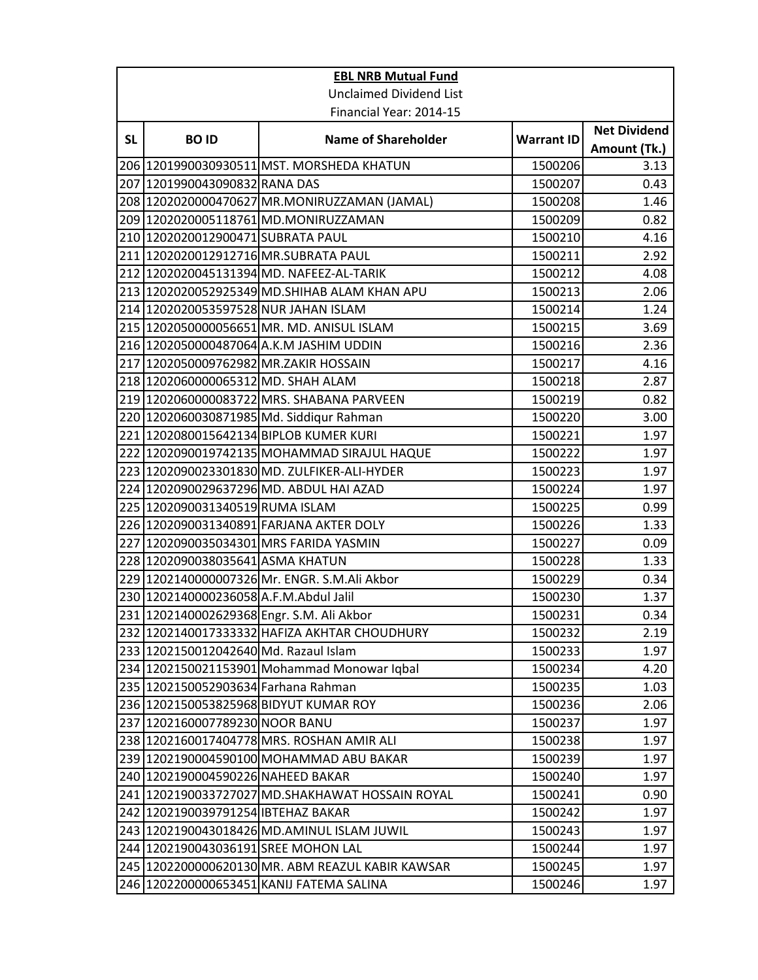|           | <b>EBL NRB Mutual Fund</b>             |                                                  |                   |                                     |  |
|-----------|----------------------------------------|--------------------------------------------------|-------------------|-------------------------------------|--|
|           | <b>Unclaimed Dividend List</b>         |                                                  |                   |                                     |  |
|           | Financial Year: 2014-15                |                                                  |                   |                                     |  |
| <b>SL</b> | <b>BOID</b>                            | <b>Name of Shareholder</b>                       | <b>Warrant ID</b> | <b>Net Dividend</b><br>Amount (Tk.) |  |
|           |                                        | 206  1201990030930511 MST. MORSHEDA KHATUN       | 1500206           | 3.13                                |  |
|           | 207 1201990043090832 RANA DAS          |                                                  | 1500207           | 0.43                                |  |
|           |                                        | 208 1202020000470627 MR.MONIRUZZAMAN (JAMAL)     | 1500208           | 1.46                                |  |
|           |                                        | 209 1202020005118761 MD.MONIRUZZAMAN             | 1500209           | 0.82                                |  |
|           | 210 1202020012900471 SUBRATA PAUL      |                                                  | 1500210           | 4.16                                |  |
|           | 211 1202020012912716 MR.SUBRATA PAUL   |                                                  | 1500211           | 2.92                                |  |
|           |                                        | 212 1202020045131394 MD. NAFEEZ-AL-TARIK         | 1500212           | 4.08                                |  |
|           |                                        | 213 1202020052925349 MD.SHIHAB ALAM KHAN APU     | 1500213           | 2.06                                |  |
|           | 214 1202020053597528 NUR JAHAN ISLAM   |                                                  | 1500214           | 1.24                                |  |
|           |                                        | 215 1202050000056651 MR. MD. ANISUL ISLAM        | 1500215           | 3.69                                |  |
|           |                                        | 216 1202050000487064 A.K.M JASHIM UDDIN          | 1500216           | 2.36                                |  |
|           | 217 1202050009762982 MR.ZAKIR HOSSAIN  |                                                  | 1500217           | 4.16                                |  |
|           | 218 1202060000065312 MD. SHAH ALAM     |                                                  | 1500218           | 2.87                                |  |
|           |                                        | 219 1202060000083722 MRS. SHABANA PARVEEN        | 1500219           | 0.82                                |  |
|           |                                        | 220 1202060030871985 Md. Siddiqur Rahman         | 1500220           | 3.00                                |  |
|           |                                        | 221 1202080015642134 BIPLOB KUMER KURI           | 1500221           | 1.97                                |  |
|           |                                        | 222 1202090019742135 MOHAMMAD SIRAJUL HAQUE      | 1500222           | 1.97                                |  |
|           |                                        | 223 1202090023301830 MD. ZULFIKER-ALI-HYDER      | 1500223           | 1.97                                |  |
|           |                                        | 224 1202090029637296 MD. ABDUL HAI AZAD          | 1500224           | 1.97                                |  |
|           | 225 1202090031340519 RUMA ISLAM        |                                                  | 1500225           | 0.99                                |  |
|           |                                        | 226 1202090031340891 FARJANA AKTER DOLY          | 1500226           | 1.33                                |  |
|           |                                        | 227 1202090035034301 MRS FARIDA YASMIN           | 1500227           | 0.09                                |  |
|           | 228 1202090038035641 ASMA KHATUN       |                                                  | 1500228           | 1.33                                |  |
|           |                                        | 229 1202140000007326 Mr. ENGR. S.M.Ali Akbor     | 1500229           | 0.34                                |  |
|           | 230 1202140000236058 A.F.M.Abdul Jalil |                                                  | 1500230           | 1.37                                |  |
|           |                                        | 231 1202140002629368 Engr. S.M. Ali Akbor        | 1500231           | 0.34                                |  |
|           |                                        | 232 1202140017333332 HAFIZA AKHTAR CHOUDHURY     | 1500232           | 2.19                                |  |
|           | 233 1202150012042640 Md. Razaul Islam  |                                                  | 1500233           | 1.97                                |  |
|           |                                        | 234 1202150021153901 Mohammad Monowar Iqbal      | 1500234           | 4.20                                |  |
|           | 235 1202150052903634 Farhana Rahman    |                                                  | 1500235           | 1.03                                |  |
|           |                                        | 236 1202150053825968 BIDYUT KUMAR ROY            | 1500236           | 2.06                                |  |
|           | 237 1202160007789230 NOOR BANU         |                                                  | 1500237           | 1.97                                |  |
|           |                                        | 238 1202160017404778 MRS. ROSHAN AMIR ALI        | 1500238           | 1.97                                |  |
|           |                                        | 239 1202190004590100 MOHAMMAD ABU BAKAR          | 1500239           | 1.97                                |  |
|           | 240 1202190004590226 NAHEED BAKAR      |                                                  | 1500240           | 1.97                                |  |
|           |                                        | 241 1202190033727027 MD.SHAKHAWAT HOSSAIN ROYAL  | 1500241           | 0.90                                |  |
|           | 242   1202190039791254   IBTEHAZ BAKAR |                                                  | 1500242           | 1.97                                |  |
|           |                                        | 243 1202190043018426 MD.AMINUL ISLAM JUWIL       | 1500243           | 1.97                                |  |
|           | 244 1202190043036191 SREE MOHON LAL    |                                                  | 1500244           | 1.97                                |  |
|           |                                        | 245 1202200000620130 MR. ABM REAZUL KABIR KAWSAR | 1500245           | 1.97                                |  |
|           |                                        | 246 1202200000653451 KANIJ FATEMA SALINA         | 1500246           | 1.97                                |  |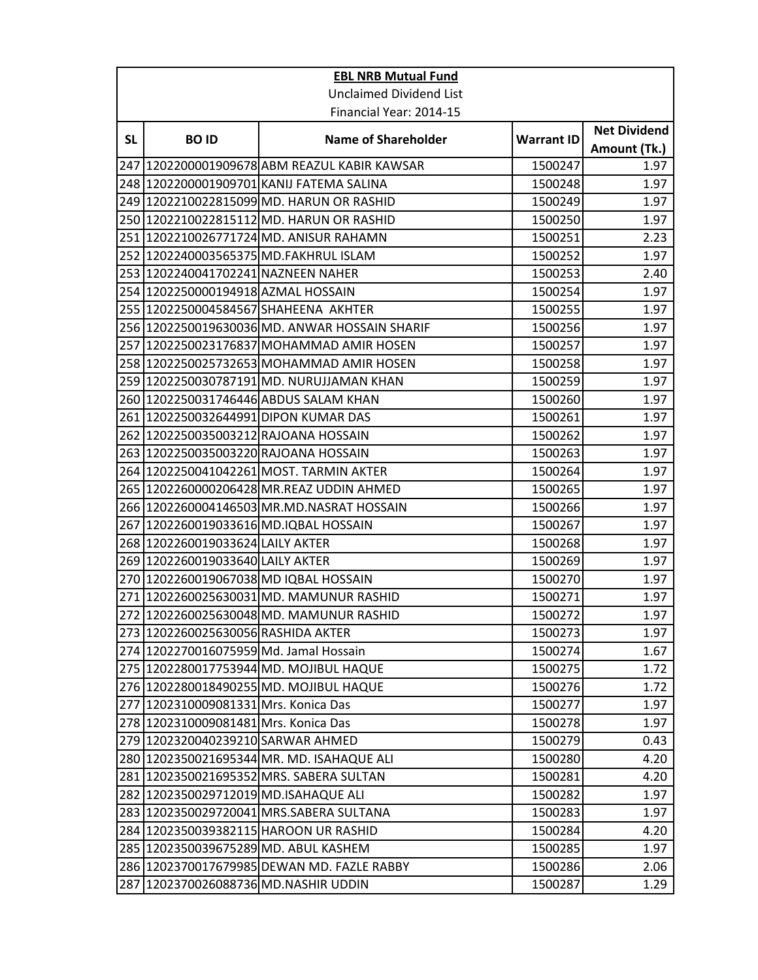|           | <b>EBL NRB Mutual Fund</b>             |                                               |                   |                                     |  |
|-----------|----------------------------------------|-----------------------------------------------|-------------------|-------------------------------------|--|
|           | <b>Unclaimed Dividend List</b>         |                                               |                   |                                     |  |
|           | Financial Year: 2014-15                |                                               |                   |                                     |  |
| <b>SL</b> | <b>BOID</b>                            | <b>Name of Shareholder</b>                    | <b>Warrant ID</b> | <b>Net Dividend</b><br>Amount (Tk.) |  |
|           |                                        | 247 1202200001909678 ABM REAZUL KABIR KAWSAR  | 1500247           | 1.97                                |  |
|           |                                        | 248 1202200001909701 KANIJ FATEMA SALINA      | 1500248           | 1.97                                |  |
|           |                                        | 249 1202210022815099 MD. HARUN OR RASHID      | 1500249           | 1.97                                |  |
|           |                                        | 250 1202210022815112 MD. HARUN OR RASHID      | 1500250           | 1.97                                |  |
|           |                                        | 251 1202210026771724 MD. ANISUR RAHAMN        | 1500251           | 2.23                                |  |
|           |                                        | 252 1202240003565375 MD. FAKHRUL ISLAM        | 1500252           | 1.97                                |  |
|           | 253 1202240041702241 NAZNEEN NAHER     |                                               | 1500253           | 2.40                                |  |
|           | 254 1202250000194918 AZMAL HOSSAIN     |                                               | 1500254           | 1.97                                |  |
|           |                                        | 255 1202250004584567 SHAHEENA AKHTER          | 1500255           | 1.97                                |  |
|           |                                        | 256 1202250019630036 MD. ANWAR HOSSAIN SHARIF | 1500256           | 1.97                                |  |
|           |                                        | 257 1202250023176837 MOHAMMAD AMIR HOSEN      | 1500257           | 1.97                                |  |
|           |                                        | 258 1202250025732653 MOHAMMAD AMIR HOSEN      | 1500258           | 1.97                                |  |
|           |                                        | 259 1202250030787191 MD. NURUJJAMAN KHAN      | 1500259           | 1.97                                |  |
|           |                                        | 260 1202250031746446 ABDUS SALAM KHAN         | 1500260           | 1.97                                |  |
|           | 261 1202250032644991 DIPON KUMAR DAS   |                                               | 1500261           | 1.97                                |  |
|           | 262 1202250035003212 RAJOANA HOSSAIN   |                                               | 1500262           | 1.97                                |  |
|           | 263 1202250035003220 RAJOANA HOSSAIN   |                                               | 1500263           | 1.97                                |  |
|           |                                        | 264 1202250041042261 MOST. TARMIN AKTER       | 1500264           | 1.97                                |  |
|           |                                        | 265 1202260000206428 MR.REAZ UDDIN AHMED      | 1500265           | 1.97                                |  |
|           |                                        | 266 1202260004146503 MR.MD.NASRAT HOSSAIN     | 1500266           | 1.97                                |  |
|           |                                        | 267 1202260019033616 MD.IQBAL HOSSAIN         | 1500267           | 1.97                                |  |
|           | 268 1202260019033624 LAILY AKTER       |                                               | 1500268           | 1.97                                |  |
|           | 269 1202260019033640 LAILY AKTER       |                                               | 1500269           | 1.97                                |  |
|           |                                        | 270 1202260019067038 MD IQBAL HOSSAIN         | 1500270           | 1.97                                |  |
|           |                                        | 271 1202260025630031 MD. MAMUNUR RASHID       | 1500271           | 1.97                                |  |
|           |                                        | 272 1202260025630048 MD. MAMUNUR RASHID       | 1500272           | 1.97                                |  |
|           | 273 1202260025630056 RASHIDA AKTER     |                                               | 1500273           | 1.97                                |  |
|           | 274 1202270016075959 Md. Jamal Hossain |                                               | 1500274           | 1.67                                |  |
|           |                                        | 275 1202280017753944 MD. MOJIBUL HAQUE        | 1500275           | 1.72                                |  |
|           |                                        | 276 1202280018490255 MD. MOJIBUL HAQUE        | 1500276           | 1.72                                |  |
|           | 277 1202310009081331 Mrs. Konica Das   |                                               | 1500277           | 1.97                                |  |
|           | 278 1202310009081481 Mrs. Konica Das   |                                               | 1500278           | 1.97                                |  |
|           | 279 1202320040239210 SARWAR AHMED      |                                               | 1500279           | 0.43                                |  |
|           |                                        | 280   1202350021695344 MR. MD. ISAHAQUE ALI   | 1500280           | 4.20                                |  |
|           |                                        | 281 1202350021695352 MRS. SABERA SULTAN       | 1500281           | 4.20                                |  |
|           | 282 1202350029712019 MD.ISAHAQUE ALI   |                                               | 1500282           | 1.97                                |  |
|           |                                        | 283 1202350029720041 MRS.SABERA SULTANA       | 1500283           | 1.97                                |  |
|           |                                        | 284 1202350039382115 HAROON UR RASHID         | 1500284           | 4.20                                |  |
|           | 285 1202350039675289 MD. ABUL KASHEM   |                                               | 1500285           | 1.97                                |  |
|           |                                        | 286 1202370017679985 DEWAN MD. FAZLE RABBY    | 1500286           | 2.06                                |  |
|           | 287 1202370026088736 MD.NASHIR UDDIN   |                                               | 1500287           | 1.29                                |  |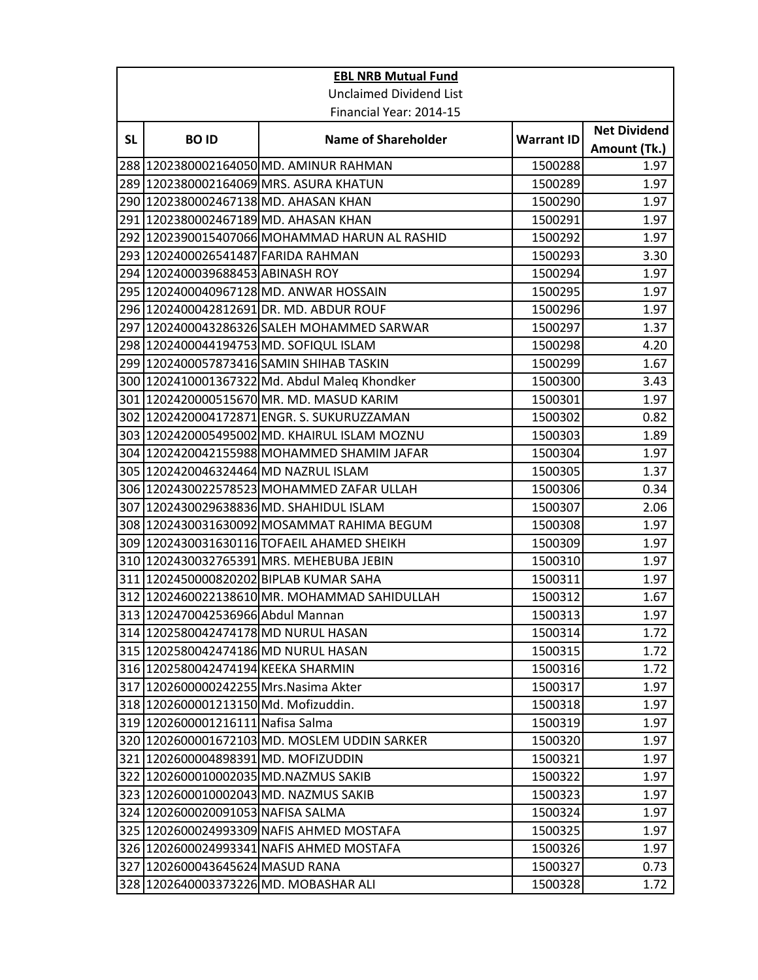|           | <b>EBL NRB Mutual Fund</b>             |                                               |                   |                                     |  |
|-----------|----------------------------------------|-----------------------------------------------|-------------------|-------------------------------------|--|
|           | <b>Unclaimed Dividend List</b>         |                                               |                   |                                     |  |
|           | Financial Year: 2014-15                |                                               |                   |                                     |  |
| <b>SL</b> | <b>BOID</b>                            | <b>Name of Shareholder</b>                    | <b>Warrant ID</b> | <b>Net Dividend</b><br>Amount (Tk.) |  |
|           |                                        | 288 1202380002164050 MD. AMINUR RAHMAN        | 1500288           | 1.97                                |  |
|           |                                        | 289 1202380002164069 MRS. ASURA KHATUN        | 1500289           | 1.97                                |  |
|           | 290 1202380002467138 MD. AHASAN KHAN   |                                               | 1500290           | 1.97                                |  |
|           | 291 1202380002467189 MD. AHASAN KHAN   |                                               | 1500291           | 1.97                                |  |
|           |                                        | 292 1202390015407066 MOHAMMAD HARUN AL RASHID | 1500292           | 1.97                                |  |
|           | 293 1202400026541487 FARIDA RAHMAN     |                                               | 1500293           | 3.30                                |  |
|           | 294 1202400039688453 ABINASH ROY       |                                               | 1500294           | 1.97                                |  |
|           |                                        | 295  1202400040967128 MD. ANWAR HOSSAIN       | 1500295           | 1.97                                |  |
|           |                                        | 296 1202400042812691 DR. MD. ABDUR ROUF       | 1500296           | 1.97                                |  |
|           |                                        | 297 1202400043286326 SALEH MOHAMMED SARWAR    | 1500297           | 1.37                                |  |
|           |                                        | 298 1202400044194753 MD. SOFIQUL ISLAM        | 1500298           | 4.20                                |  |
|           |                                        | 299 1202400057873416 SAMIN SHIHAB TASKIN      | 1500299           | 1.67                                |  |
|           |                                        | 300 1202410001367322 Md. Abdul Maleq Khondker | 1500300           | 3.43                                |  |
|           |                                        | 301 1202420000515670 MR. MD. MASUD KARIM      | 1500301           | 1.97                                |  |
|           |                                        | 302 1202420004172871 ENGR. S. SUKURUZZAMAN    | 1500302           | 0.82                                |  |
|           |                                        | 303 1202420005495002 MD. KHAIRUL ISLAM MOZNU  | 1500303           | 1.89                                |  |
|           |                                        | 304  1202420042155988 MOHAMMED SHAMIM JAFAR   | 1500304           | 1.97                                |  |
|           | 305 1202420046324464 MD NAZRUL ISLAM   |                                               | 1500305           | 1.37                                |  |
|           |                                        | 306  1202430022578523 MOHAMMED ZAFAR ULLAH    | 1500306           | 0.34                                |  |
|           |                                        | 307  1202430029638836 MD. SHAHIDUL ISLAM      | 1500307           | 2.06                                |  |
|           |                                        | 308 1202430031630092 MOSAMMAT RAHIMA BEGUM    | 1500308           | 1.97                                |  |
|           |                                        | 309  1202430031630116 TOFAEIL AHAMED SHEIKH   | 1500309           | 1.97                                |  |
|           |                                        | 310 1202430032765391 MRS. MEHEBUBA JEBIN      | 1500310           | 1.97                                |  |
|           |                                        | 311 1202450000820202 BIPLAB KUMAR SAHA        | 1500311           | 1.97                                |  |
|           |                                        | 312 1202460022138610 MR. MOHAMMAD SAHIDULLAH  | 1500312           | 1.67                                |  |
|           | 313   1202470042536966 Abdul Mannan    |                                               | 1500313           | 1.97                                |  |
|           | 314 1202580042474178 MD NURUL HASAN    |                                               | 1500314           | 1.72                                |  |
|           | 315 1202580042474186 MD NURUL HASAN    |                                               | 1500315           | 1.72                                |  |
|           | 316 1202580042474194 KEEKA SHARMIN     |                                               | 1500316           | 1.72                                |  |
|           | 317 1202600000242255 Mrs. Nasima Akter |                                               | 1500317           | 1.97                                |  |
|           | 318 1202600001213150 Md. Mofizuddin.   |                                               | 1500318           | 1.97                                |  |
|           | 319 1202600001216111 Nafisa Salma      |                                               | 1500319           | 1.97                                |  |
|           |                                        | 320 1202600001672103 MD. MOSLEM UDDIN SARKER  | 1500320           | 1.97                                |  |
|           | 321 1202600004898391 MD. MOFIZUDDIN    |                                               | 1500321           | 1.97                                |  |
|           | 322 1202600010002035 MD.NAZMUS SAKIB   |                                               | 1500322           | 1.97                                |  |
|           |                                        | 323 1202600010002043 MD. NAZMUS SAKIB         | 1500323           | 1.97                                |  |
|           | 324 1202600020091053 NAFISA SALMA      |                                               | 1500324           | 1.97                                |  |
|           |                                        | 325 1202600024993309 NAFIS AHMED MOSTAFA      | 1500325           | 1.97                                |  |
|           |                                        | 326 1202600024993341 NAFIS AHMED MOSTAFA      | 1500326           | 1.97                                |  |
|           | 327 1202600043645624 MASUD RANA        |                                               | 1500327           | 0.73                                |  |
|           |                                        | 328 1202640003373226 MD. MOBASHAR ALI         | 1500328           | 1.72                                |  |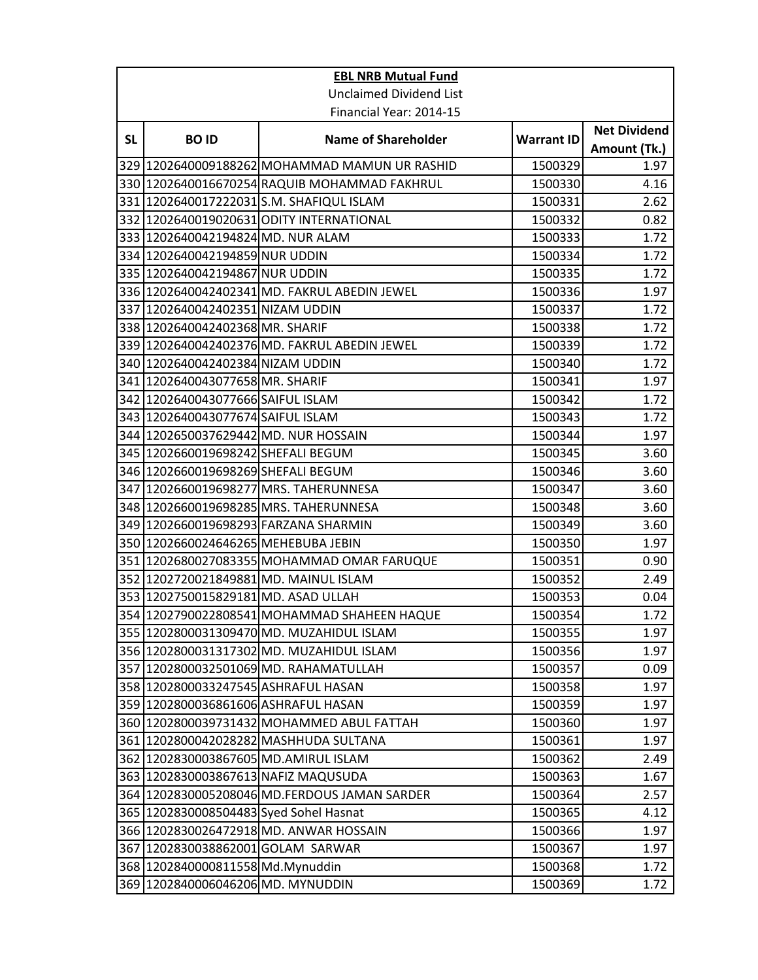|           | <b>EBL NRB Mutual Fund</b>              |                                               |                   |                     |  |
|-----------|-----------------------------------------|-----------------------------------------------|-------------------|---------------------|--|
|           | <b>Unclaimed Dividend List</b>          |                                               |                   |                     |  |
|           | Financial Year: 2014-15                 |                                               |                   |                     |  |
| <b>SL</b> | <b>BOID</b>                             | <b>Name of Shareholder</b>                    | <b>Warrant ID</b> | <b>Net Dividend</b> |  |
|           |                                         |                                               |                   | Amount (Tk.)        |  |
|           |                                         | 329 1202640009188262 MOHAMMAD MAMUN UR RASHID | 1500329           | 1.97                |  |
|           |                                         | 330 1202640016670254 RAQUIB MOHAMMAD FAKHRUL  | 1500330           | 4.16                |  |
|           |                                         | 331 1202640017222031 S.M. SHAFIQUL ISLAM      | 1500331           | 2.62                |  |
|           |                                         | 332 1202640019020631 ODITY INTERNATIONAL      | 1500332           | 0.82                |  |
|           | 333 1202640042194824 MD. NUR ALAM       |                                               | 1500333           | 1.72                |  |
|           | 334 1202640042194859 NUR UDDIN          |                                               | 1500334           | 1.72                |  |
|           | 335 1202640042194867 NUR UDDIN          |                                               | 1500335           | 1.72                |  |
|           |                                         | 336 1202640042402341 MD. FAKRUL ABEDIN JEWEL  | 1500336           | 1.97                |  |
|           | 337 1202640042402351 NIZAM UDDIN        |                                               | 1500337           | 1.72                |  |
|           | 338 1202640042402368 MR. SHARIF         |                                               | 1500338           | 1.72                |  |
|           |                                         | 339 1202640042402376 MD. FAKRUL ABEDIN JEWEL  | 1500339           | 1.72                |  |
|           | 340 1202640042402384 NIZAM UDDIN        |                                               | 1500340           | 1.72                |  |
|           | 341 1202640043077658 MR. SHARIF         |                                               | 1500341           | 1.97                |  |
|           | 342 1202640043077666 SAIFUL ISLAM       |                                               | 1500342           | 1.72                |  |
|           | 343 1202640043077674 SAIFUL ISLAM       |                                               | 1500343           | 1.72                |  |
|           | 344 1202650037629442 MD. NUR HOSSAIN    |                                               | 1500344           | 1.97                |  |
|           | 345  1202660019698242 SHEFALI BEGUM     |                                               | 1500345           | 3.60                |  |
|           | 346 1202660019698269 SHEFALI BEGUM      |                                               | 1500346           | 3.60                |  |
|           |                                         | 347  1202660019698277 MRS. TAHERUNNESA        | 1500347           | 3.60                |  |
|           |                                         | 348 1202660019698285 MRS. TAHERUNNESA         | 1500348           | 3.60                |  |
|           | 349 1202660019698293 FARZANA SHARMIN    |                                               | 1500349           | 3.60                |  |
|           | 350  1202660024646265 MEHEBUBA JEBIN    |                                               | 1500350           | 1.97                |  |
|           |                                         | 351 1202680027083355 MOHAMMAD OMAR FARUQUE    | 1500351           | 0.90                |  |
|           |                                         | 352 1202720021849881 MD. MAINUL ISLAM         | 1500352           | 2.49                |  |
|           | 353 1202750015829181 MD. ASAD ULLAH     |                                               | 1500353           | 0.04                |  |
|           |                                         | 354 1202790022808541 MOHAMMAD SHAHEEN HAQUE   | 1500354           | 1.72                |  |
|           |                                         | 355 1202800031309470 MD. MUZAHIDUL ISLAM      | 1500355           | 1.97                |  |
|           |                                         | 356 1202800031317302 MD. MUZAHIDUL ISLAM      | 1500356           | 1.97                |  |
|           |                                         | 357  1202800032501069 MD. RAHAMATULLAH        | 1500357           | 0.09                |  |
|           | 358 1202800033247545 ASHRAFUL HASAN     |                                               | 1500358           | 1.97                |  |
|           | 359 1202800036861606 ASHRAFUL HASAN     |                                               | 1500359           | 1.97                |  |
|           |                                         | 360 1202800039731432 MOHAMMED ABUL FATTAH     | 1500360           | 1.97                |  |
|           |                                         | 361 1202800042028282 MASHHUDA SULTANA         | 1500361           | 1.97                |  |
|           | 362   1202830003867605 MD. AMIRUL ISLAM |                                               | 1500362           | 2.49                |  |
|           | 363 1202830003867613 NAFIZ MAQUSUDA     |                                               | 1500363           | 1.67                |  |
|           |                                         | 364 1202830005208046 MD.FERDOUS JAMAN SARDER  | 1500364           | 2.57                |  |
|           | 365 1202830008504483 Syed Sohel Hasnat  |                                               | 1500365           | 4.12                |  |
|           |                                         | 366  1202830026472918 MD. ANWAR HOSSAIN       | 1500366           | 1.97                |  |
|           | 367 1202830038862001 GOLAM SARWAR       |                                               | 1500367           | 1.97                |  |
|           | 368 1202840000811558 Md.Mynuddin        |                                               | 1500368           | 1.72                |  |
|           | 369 1202840006046206 MD. MYNUDDIN       |                                               | 1500369           | 1.72                |  |
|           |                                         |                                               |                   |                     |  |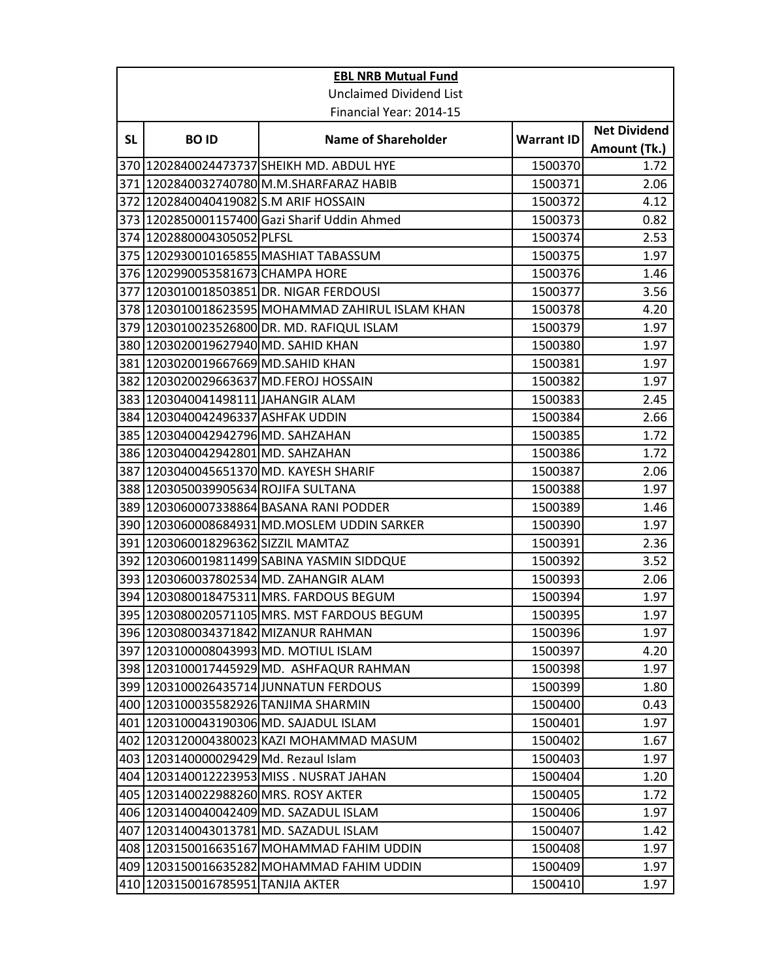|           | <b>EBL NRB Mutual Fund</b>            |                                                  |                    |                     |  |
|-----------|---------------------------------------|--------------------------------------------------|--------------------|---------------------|--|
|           | <b>Unclaimed Dividend List</b>        |                                                  |                    |                     |  |
|           | Financial Year: 2014-15               |                                                  |                    |                     |  |
| <b>SL</b> | <b>BOID</b>                           | <b>Name of Shareholder</b>                       | <b>Warrant ID</b>  | <b>Net Dividend</b> |  |
|           |                                       |                                                  |                    | Amount (Tk.)        |  |
|           |                                       | 370 1202840024473737 SHEIKH MD. ABDUL HYE        | 1500370            | 1.72                |  |
|           |                                       | 371 1202840032740780 M.M.SHARFARAZ HABIB         | 1500371<br>1500372 | 2.06                |  |
|           | 372 1202840040419082 S.M ARIF HOSSAIN | 373 1202850001157400 Gazi Sharif Uddin Ahmed     | 1500373            | 4.12<br>0.82        |  |
|           | 374 1202880004305052 PLFSL            |                                                  | 1500374            | 2.53                |  |
|           |                                       | 375 1202930010165855 MASHIAT TABASSUM            | 1500375            | 1.97                |  |
|           | 376 1202990053581673 CHAMPA HORE      |                                                  |                    |                     |  |
|           |                                       | 377 1203010018503851 DR. NIGAR FERDOUSI          | 1500376<br>1500377 | 1.46<br>3.56        |  |
|           |                                       | 378 1203010018623595 MOHAMMAD ZAHIRUL ISLAM KHAN | 1500378            | 4.20                |  |
|           |                                       | 379 1203010023526800 DR. MD. RAFIQUL ISLAM       | 1500379            | 1.97                |  |
|           | 380 1203020019627940 MD. SAHID KHAN   |                                                  | 1500380            | 1.97                |  |
|           | 381   1203020019667669 MD. SAHID KHAN |                                                  | 1500381            | 1.97                |  |
|           |                                       | 382 1203020029663637 MD.FEROJ HOSSAIN            | 1500382            | 1.97                |  |
|           |                                       |                                                  |                    |                     |  |
|           | 383 1203040041498111 JAHANGIR ALAM    |                                                  | 1500383            | 2.45                |  |
|           | 384 1203040042496337 ASHFAK UDDIN     |                                                  | 1500384            | 2.66<br>1.72        |  |
|           | 385   1203040042942796 MD. SAHZAHAN   |                                                  | 1500385            |                     |  |
|           | 386  1203040042942801 MD. SAHZAHAN    |                                                  | 1500386            | 1.72                |  |
|           |                                       | 387 1203040045651370 MD. KAYESH SHARIF           | 1500387            | 2.06                |  |
|           | 388 1203050039905634 ROJIFA SULTANA   |                                                  | 1500388            | 1.97                |  |
|           |                                       | 389  1203060007338864 BASANA RANI PODDER         | 1500389            | 1.46                |  |
|           |                                       | 390 1203060008684931 MD.MOSLEM UDDIN SARKER      | 1500390            | 1.97                |  |
|           | 391  1203060018296362 SIZZIL MAMTAZ   |                                                  | 1500391            | 2.36                |  |
|           |                                       | 392  1203060019811499 SABINA YASMIN SIDDQUE      | 1500392            | 3.52                |  |
|           |                                       | 393 1203060037802534 MD. ZAHANGIR ALAM           | 1500393            | 2.06                |  |
|           |                                       | 394 1203080018475311 MRS. FARDOUS BEGUM          | 1500394            | 1.97                |  |
|           |                                       | 395 1203080020571105 MRS. MST FARDOUS BEGUM      | 1500395            | 1.97                |  |
|           | 396 1203080034371842 MIZANUR RAHMAN   |                                                  | 1500396            | 1.97                |  |
|           |                                       | 397 1203100008043993 MD. MOTIUL ISLAM            | 1500397            | 4.20                |  |
|           |                                       | 398   1203100017445929 MD. ASHFAQUR RAHMAN       | 1500398            | 1.97                |  |
|           |                                       | 399 1203100026435714 JUNNATUN FERDOUS            | 1500399            | 1.80                |  |
|           | 400 1203100035582926 TANJIMA SHARMIN  |                                                  | 1500400            | 0.43                |  |
|           |                                       | 401 1203100043190306 MD. SAJADUL ISLAM           | 1500401            | 1.97                |  |
|           |                                       | 402 1203120004380023 KAZI MOHAMMAD MASUM         | 1500402            | 1.67                |  |
|           | 403 1203140000029429 Md. Rezaul Islam |                                                  | 1500403            | 1.97                |  |
|           |                                       | 404 1203140012223953 MISS . NUSRAT JAHAN         | 1500404            | 1.20                |  |
|           | 405 1203140022988260 MRS. ROSY AKTER  |                                                  | 1500405            | 1.72                |  |
|           |                                       | 406 1203140040042409 MD. SAZADUL ISLAM           | 1500406            | 1.97                |  |
|           |                                       | 407 1203140043013781 MD. SAZADUL ISLAM           | 1500407            | 1.42                |  |
|           |                                       | 408 1203150016635167 MOHAMMAD FAHIM UDDIN        | 1500408            | 1.97                |  |
|           |                                       | 409 1203150016635282 MOHAMMAD FAHIM UDDIN        | 1500409            | 1.97                |  |
|           | 410 1203150016785951 TANJIA AKTER     |                                                  | 1500410            | 1.97                |  |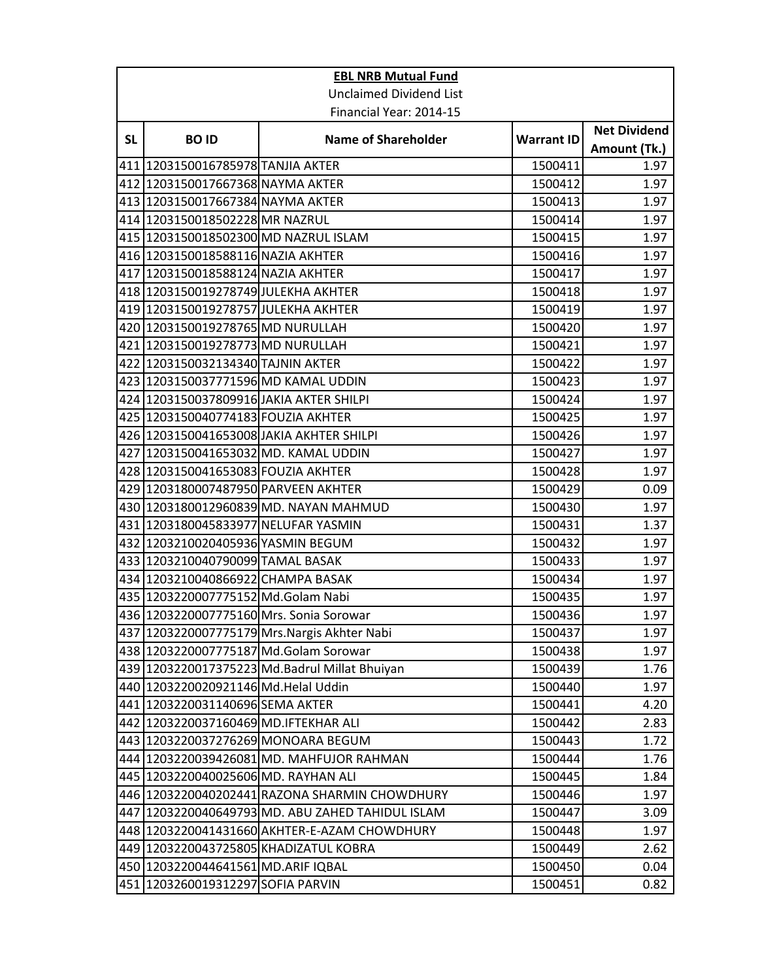|           | <b>EBL NRB Mutual Fund</b>              |                                                      |                   |                     |  |
|-----------|-----------------------------------------|------------------------------------------------------|-------------------|---------------------|--|
|           | <b>Unclaimed Dividend List</b>          |                                                      |                   |                     |  |
|           | Financial Year: 2014-15                 |                                                      |                   |                     |  |
| <b>SL</b> | <b>BOID</b>                             | <b>Name of Shareholder</b>                           | <b>Warrant ID</b> | <b>Net Dividend</b> |  |
|           |                                         |                                                      |                   | Amount (Tk.)        |  |
|           | 411 1203150016785978 TANJIA AKTER       |                                                      | 1500411           | 1.97                |  |
|           | 412 1203150017667368 NAYMA AKTER        |                                                      | 1500412           | 1.97                |  |
|           | 413  1203150017667384 NAYMA AKTER       |                                                      | 1500413           | 1.97                |  |
|           | 414 1203150018502228 MR NAZRUL          |                                                      | 1500414           | 1.97                |  |
|           | 415   1203150018502300 MD NAZRUL ISLAM  |                                                      | 1500415           | 1.97                |  |
|           | 416 1203150018588116 NAZIA AKHTER       |                                                      | 1500416           | 1.97                |  |
|           | 417 1203150018588124 NAZIA AKHTER       |                                                      | 1500417           | 1.97                |  |
|           | 418 1203150019278749 JULEKHA AKHTER     |                                                      | 1500418           | 1.97                |  |
|           | 419 1203150019278757 JULEKHA AKHTER     |                                                      | 1500419           | 1.97                |  |
|           | 420 1203150019278765 MD NURULLAH        |                                                      | 1500420           | 1.97                |  |
|           | 421 1203150019278773 MD NURULLAH        |                                                      | 1500421           | 1.97                |  |
|           | 422 1203150032134340 TAJNIN AKTER       |                                                      | 1500422           | 1.97                |  |
|           | 423 1203150037771596 MD KAMAL UDDIN     |                                                      | 1500423           | 1.97                |  |
|           | 424 1203150037809916 JAKIA AKTER SHILPI |                                                      | 1500424           | 1.97                |  |
|           | 425 1203150040774183 FOUZIA AKHTER      |                                                      | 1500425           | 1.97                |  |
|           |                                         | 426 1203150041653008 JAKIA AKHTER SHILPI             | 1500426           | 1.97                |  |
|           | 427 1203150041653032 MD. KAMAL UDDIN    |                                                      | 1500427           | 1.97                |  |
|           | 428 1203150041653083 FOUZIA AKHTER      |                                                      | 1500428           | 1.97                |  |
|           | 429 1203180007487950 PARVEEN AKHTER     |                                                      | 1500429           | 0.09                |  |
|           |                                         | 430 1203180012960839 MD. NAYAN MAHMUD                | 1500430           | 1.97                |  |
|           | 431 1203180045833977 NELUFAR YASMIN     |                                                      | 1500431           | 1.37                |  |
|           | 432 1203210020405936 YASMIN BEGUM       |                                                      | 1500432           | 1.97                |  |
|           | 433 1203210040790099 TAMAL BASAK        |                                                      | 1500433           | 1.97                |  |
|           | 434 1203210040866922 CHAMPA BASAK       |                                                      | 1500434           | 1.97                |  |
|           | 435 1203220007775152 Md.Golam Nabi      |                                                      | 1500435           | 1.97                |  |
|           | 436 1203220007775160 Mrs. Sonia Sorowar |                                                      | 1500436           | 1.97                |  |
|           |                                         | 437 1203220007775179 Mrs. Nargis Akhter Nabi         | 1500437           | 1.97                |  |
|           | 438 1203220007775187 Md. Golam Sorowar  |                                                      | 1500438           | 1.97                |  |
|           |                                         | 439 1203220017375223 Md.Badrul Millat Bhuiyan        | 1500439           | 1.76                |  |
|           | 440 1203220020921146 Md.Helal Uddin     |                                                      | 1500440           | 1.97                |  |
|           | 441 1203220031140696 SEMA AKTER         |                                                      | 1500441           | 4.20                |  |
|           | 442   1203220037160469 MD. IFTEKHAR ALI |                                                      | 1500442           | 2.83                |  |
|           | 443 1203220037276269 MONOARA BEGUM      |                                                      | 1500443           | 1.72                |  |
|           |                                         | 444 1203220039426081 MD. MAHFUJOR RAHMAN             | 1500444           | 1.76                |  |
|           | 445 1203220040025606 MD. RAYHAN ALI     |                                                      | 1500445           | 1.84                |  |
|           |                                         | 446 1203220040202441 RAZONA SHARMIN CHOWDHURY        | 1500446           | 1.97                |  |
|           |                                         | 447   1203220040649793   MD. ABU ZAHED TAHIDUL ISLAM | 1500447           | 3.09                |  |
|           |                                         | 448 1203220041431660 AKHTER-E-AZAM CHOWDHURY         | 1500448           | 1.97                |  |
|           |                                         | 449 1203220043725805 KHADIZATUL KOBRA                | 1500449           | 2.62                |  |
|           | 450 1203220044641561 MD.ARIF IQBAL      |                                                      | 1500450           | 0.04                |  |
|           | 451 1203260019312297 SOFIA PARVIN       |                                                      | 1500451           | 0.82                |  |
|           |                                         |                                                      |                   |                     |  |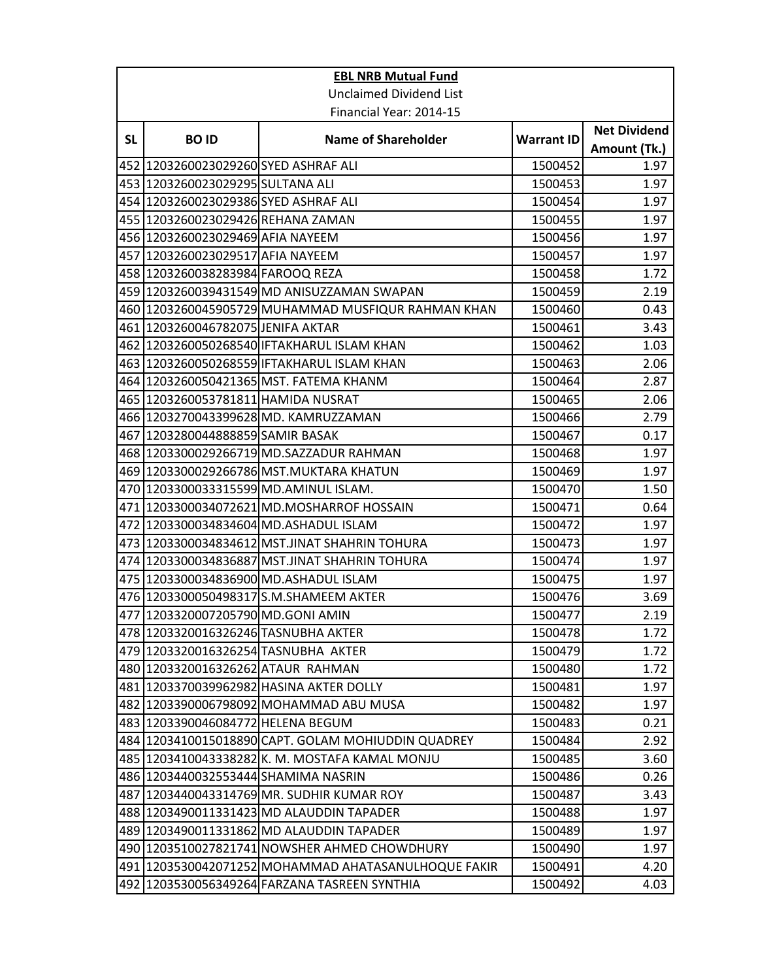|           | <b>EBL NRB Mutual Fund</b>             |                                                     |                   |                     |  |
|-----------|----------------------------------------|-----------------------------------------------------|-------------------|---------------------|--|
|           | <b>Unclaimed Dividend List</b>         |                                                     |                   |                     |  |
|           | Financial Year: 2014-15                |                                                     |                   |                     |  |
| <b>SL</b> |                                        |                                                     |                   | <b>Net Dividend</b> |  |
|           | <b>BOID</b>                            | <b>Name of Shareholder</b>                          | <b>Warrant ID</b> | Amount (Tk.)        |  |
|           | 452 1203260023029260 SYED ASHRAF ALI   |                                                     | 1500452           | 1.97                |  |
|           | 453 1203260023029295 SULTANA ALI       |                                                     | 1500453           | 1.97                |  |
|           | 454 1203260023029386 SYED ASHRAF ALI   |                                                     | 1500454           | 1.97                |  |
|           | 455 1203260023029426 REHANA ZAMAN      |                                                     | 1500455           | 1.97                |  |
|           | 456 1203260023029469 AFIA NAYEEM       |                                                     | 1500456           | 1.97                |  |
|           | 457 1203260023029517 AFIA NAYEEM       |                                                     | 1500457           | 1.97                |  |
|           | 458 1203260038283984 FAROOQ REZA       |                                                     | 1500458           | 1.72                |  |
|           |                                        | 459 1203260039431549 MD ANISUZZAMAN SWAPAN          | 1500459           | 2.19                |  |
|           |                                        | 460 1203260045905729 MUHAMMAD MUSFIQUR RAHMAN KHAN  | 1500460           | 0.43                |  |
|           | 461 1203260046782075 JENIFA AKTAR      |                                                     | 1500461           | 3.43                |  |
|           |                                        | 462 1203260050268540 IFTAKHARUL ISLAM KHAN          | 1500462           | 1.03                |  |
|           |                                        | 463  1203260050268559 IFTAKHARUL ISLAM KHAN         | 1500463           | 2.06                |  |
|           |                                        | 464 1203260050421365 MST. FATEMA KHANM              | 1500464           | 2.87                |  |
|           | 465   1203260053781811   HAMIDA NUSRAT |                                                     | 1500465           | 2.06                |  |
|           |                                        | 466 1203270043399628 MD. KAMRUZZAMAN                | 1500466           | 2.79                |  |
|           | 467 1203280044888859 SAMIR BASAK       |                                                     | 1500467           | 0.17                |  |
|           |                                        | 468 1203300029266719 MD.SAZZADUR RAHMAN             | 1500468           | 1.97                |  |
|           |                                        | 469 1203300029266786 MST.MUKTARA KHATUN             | 1500469           | 1.97                |  |
|           |                                        | 470 1203300033315599 MD.AMINUL ISLAM.               | 1500470           | 1.50                |  |
|           |                                        | 471  1203300034072621 MD.MOSHARROF HOSSAIN          | 1500471           | 0.64                |  |
|           |                                        | 472 1203300034834604 MD.ASHADUL ISLAM               | 1500472           | 1.97                |  |
|           |                                        | 473  1203300034834612 MST.JINAT SHAHRIN TOHURA      | 1500473           | 1.97                |  |
|           |                                        | 474 1203300034836887 MST.JINAT SHAHRIN TOHURA       | 1500474           | 1.97                |  |
|           |                                        | 475 1203300034836900 MD.ASHADUL ISLAM               | 1500475           | 1.97                |  |
|           |                                        | 476 1203300050498317 S.M.SHAMEEM AKTER              | 1500476           | 3.69                |  |
|           | 477 1203320007205790 MD.GONI AMIN      |                                                     | 1500477           | 2.19                |  |
|           | 478 1203320016326246 TASNUBHA AKTER    |                                                     | 1500478           | 1.72                |  |
|           | 479 1203320016326254 TASNUBHA AKTER    |                                                     | 1500479           | 1.72                |  |
|           | 480 1203320016326262 ATAUR RAHMAN      |                                                     | 1500480           | 1.72                |  |
|           |                                        | 481 1203370039962982 HASINA AKTER DOLLY             | 1500481           | 1.97                |  |
|           |                                        | 482 1203390006798092 MOHAMMAD ABU MUSA              | 1500482           | 1.97                |  |
|           | 483 1203390046084772 HELENA BEGUM      |                                                     | 1500483           | 0.21                |  |
|           |                                        | 484 1203410015018890 CAPT. GOLAM MOHIUDDIN QUADREY  | 1500484           | 2.92                |  |
|           |                                        | 485  1203410043338282 K. M. MOSTAFA KAMAL MONJU     | 1500485           | 3.60                |  |
|           | 486 1203440032553444 SHAMIMA NASRIN    |                                                     | 1500486           | 0.26                |  |
|           |                                        | 487 1203440043314769 MR. SUDHIR KUMAR ROY           | 1500487           | 3.43                |  |
|           |                                        | 488 1203490011331423 MD ALAUDDIN TAPADER            | 1500488           | 1.97                |  |
|           |                                        | 489 1203490011331862 MD ALAUDDIN TAPADER            | 1500489           | 1.97                |  |
|           |                                        | 490 1203510027821741 NOWSHER AHMED CHOWDHURY        | 1500490           | 1.97                |  |
|           |                                        | 491 1203530042071252 MOHAMMAD AHATASANULHOQUE FAKIR | 1500491           | 4.20                |  |
|           |                                        | 492 1203530056349264 FARZANA TASREEN SYNTHIA        | 1500492           | 4.03                |  |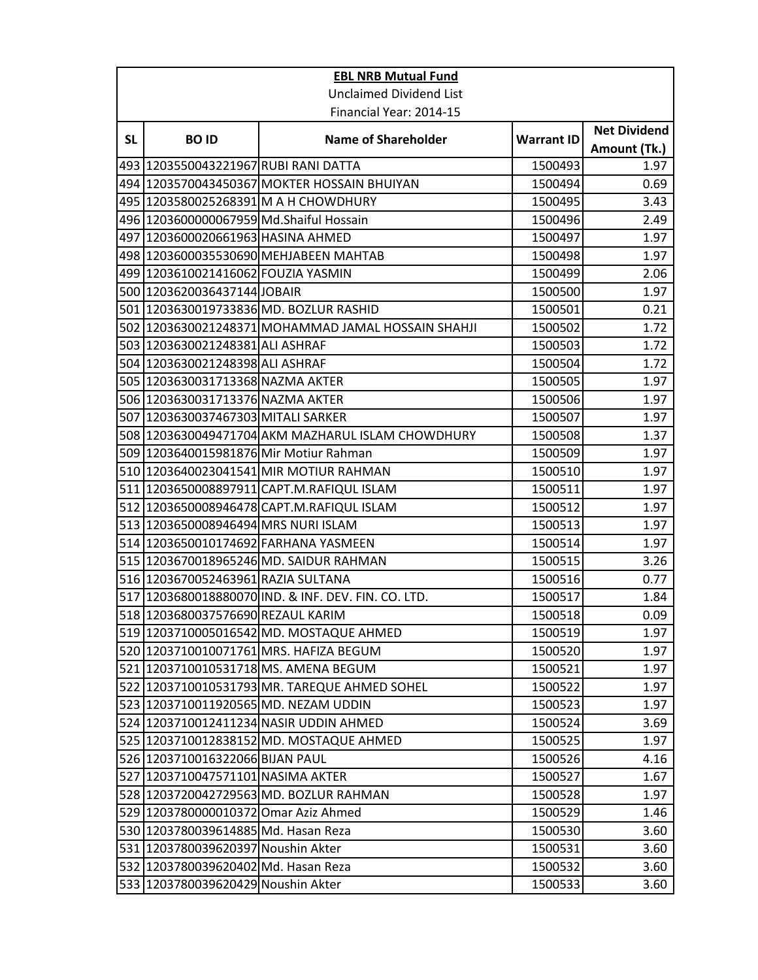| <b>EBL NRB Mutual Fund</b> |                                         |                                                     |                   |                     |  |
|----------------------------|-----------------------------------------|-----------------------------------------------------|-------------------|---------------------|--|
|                            | <b>Unclaimed Dividend List</b>          |                                                     |                   |                     |  |
|                            | Financial Year: 2014-15                 |                                                     |                   |                     |  |
| <b>SL</b>                  | <b>BOID</b>                             |                                                     |                   | <b>Net Dividend</b> |  |
|                            |                                         | <b>Name of Shareholder</b>                          | <b>Warrant ID</b> | Amount (Tk.)        |  |
|                            | 493   1203550043221967 RUBI RANI DATTA  |                                                     | 1500493           | 1.97                |  |
|                            |                                         | 494 1203570043450367 MOKTER HOSSAIN BHUIYAN         | 1500494           | 0.69                |  |
|                            |                                         | 495  1203580025268391 M A H CHOWDHURY               | 1500495           | 3.43                |  |
|                            | 496 1203600000067959 Md.Shaiful Hossain |                                                     | 1500496           | 2.49                |  |
|                            | 497 1203600020661963 HASINA AHMED       |                                                     | 1500497           | 1.97                |  |
|                            |                                         | 498 1203600035530690 MEHJABEEN MAHTAB               | 1500498           | 1.97                |  |
|                            | 499 1203610021416062 FOUZIA YASMIN      |                                                     | 1500499           | 2.06                |  |
|                            | 500 1203620036437144 JOBAIR             |                                                     | 1500500           | 1.97                |  |
|                            |                                         | 501 1203630019733836 MD. BOZLUR RASHID              | 1500501           | 0.21                |  |
|                            |                                         | 502 1203630021248371 MOHAMMAD JAMAL HOSSAIN SHAHJI  | 1500502           | 1.72                |  |
|                            | 503 1203630021248381 ALI ASHRAF         |                                                     | 1500503           | 1.72                |  |
|                            | 504 1203630021248398 ALI ASHRAF         |                                                     | 1500504           | 1.72                |  |
|                            | 505 1203630031713368 NAZMA AKTER        |                                                     | 1500505           | 1.97                |  |
|                            | 506 1203630031713376 NAZMA AKTER        |                                                     | 1500506           | 1.97                |  |
|                            | 507 1203630037467303 MITALI SARKER      |                                                     | 1500507           | 1.97                |  |
|                            |                                         | 508 1203630049471704 AKM MAZHARUL ISLAM CHOWDHURY   | 1500508           | 1.37                |  |
|                            | 509 1203640015981876 Mir Motiur Rahman  |                                                     | 1500509           | 1.97                |  |
|                            |                                         | 510 1203640023041541 MIR MOTIUR RAHMAN              | 1500510           | 1.97                |  |
|                            |                                         | 511   1203650008897911 CAPT.M.RAFIQUL ISLAM         | 1500511           | 1.97                |  |
|                            |                                         | 512 1203650008946478 CAPT.M.RAFIQUL ISLAM           | 1500512           | 1.97                |  |
|                            | 513 1203650008946494 MRS NURI ISLAM     |                                                     | 1500513           | 1.97                |  |
|                            |                                         | 514 1203650010174692 FARHANA YASMEEN                | 1500514           | 1.97                |  |
|                            |                                         | 515 1203670018965246 MD. SAIDUR RAHMAN              | 1500515           | 3.26                |  |
|                            | 516 1203670052463961 RAZIA SULTANA      |                                                     | 1500516           | 0.77                |  |
|                            |                                         | 517 1203680018880070 IND. & INF. DEV. FIN. CO. LTD. | 1500517           | 1.84                |  |
|                            | 518 1203680037576690 REZAUL KARIM       |                                                     | 1500518           | 0.09                |  |
|                            |                                         | 519 1203710005016542 MD. MOSTAQUE AHMED             | 1500519           | 1.97                |  |
|                            |                                         | 520 1203710010071761 MRS. HAFIZA BEGUM              | 1500520           | 1.97                |  |
|                            |                                         | 521   1203710010531718   MS. AMENA BEGUM            | 1500521           | 1.97                |  |
|                            |                                         | 522 1203710010531793 MR. TAREQUE AHMED SOHEL        | 1500522           | 1.97                |  |
|                            | 523 1203710011920565 MD. NEZAM UDDIN    |                                                     | 1500523           | 1.97                |  |
|                            |                                         | 524 1203710012411234 NASIR UDDIN AHMED              | 1500524           | 3.69                |  |
|                            |                                         | 525 1203710012838152 MD. MOSTAQUE AHMED             | 1500525           | 1.97                |  |
|                            | 526 1203710016322066 BIJAN PAUL         |                                                     | 1500526           | 4.16                |  |
|                            | 527 1203710047571101 NASIMA AKTER       |                                                     | 1500527           | 1.67                |  |
|                            |                                         | 528 1203720042729563 MD. BOZLUR RAHMAN              | 1500528           | 1.97                |  |
|                            | 529 1203780000010372 Omar Aziz Ahmed    |                                                     | 1500529           | 1.46                |  |
|                            | 530 1203780039614885 Md. Hasan Reza     |                                                     | 1500530           | 3.60                |  |
|                            | 531 1203780039620397 Noushin Akter      |                                                     | 1500531           | 3.60                |  |
|                            | 532 1203780039620402 Md. Hasan Reza     |                                                     | 1500532           | 3.60                |  |
|                            | 533 1203780039620429 Noushin Akter      |                                                     | 1500533           | 3.60                |  |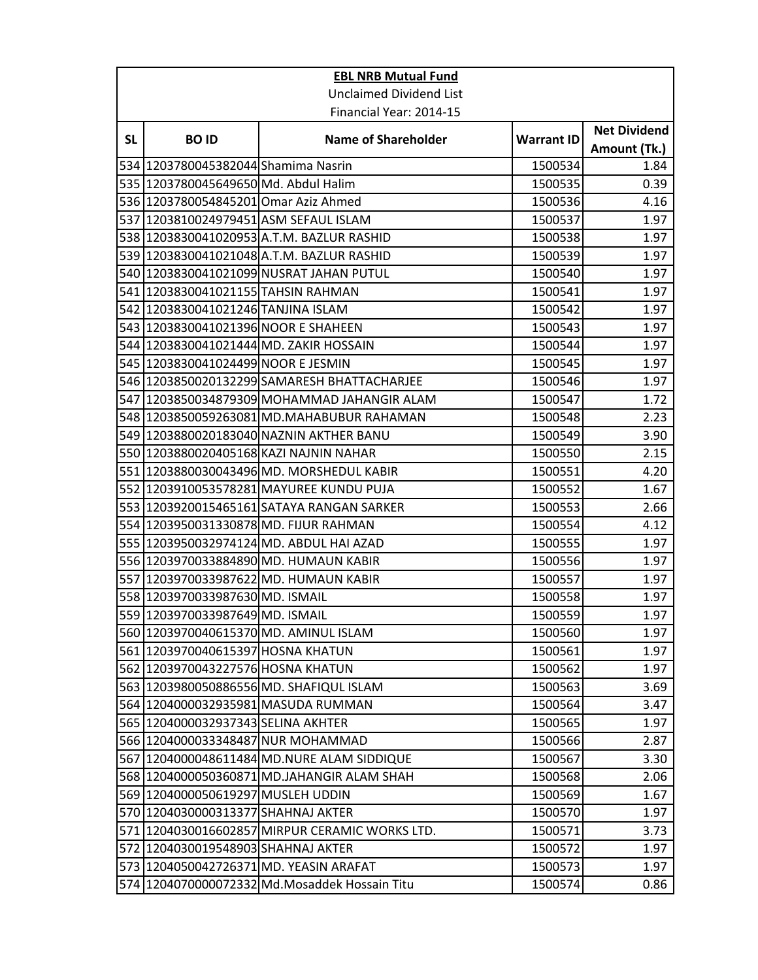| <b>EBL NRB Mutual Fund</b> |                                       |                                                |                   |                     |  |
|----------------------------|---------------------------------------|------------------------------------------------|-------------------|---------------------|--|
|                            | <b>Unclaimed Dividend List</b>        |                                                |                   |                     |  |
|                            | Financial Year: 2014-15               |                                                |                   |                     |  |
|                            |                                       |                                                |                   | <b>Net Dividend</b> |  |
| <b>SL</b>                  | <b>BOID</b>                           | <b>Name of Shareholder</b>                     | <b>Warrant ID</b> | Amount (Tk.)        |  |
|                            | 534 1203780045382044 Shamima Nasrin   |                                                | 1500534           | 1.84                |  |
|                            | 535 1203780045649650 Md. Abdul Halim  |                                                | 1500535           | 0.39                |  |
|                            | 536 1203780054845201 Omar Aziz Ahmed  |                                                | 1500536           | 4.16                |  |
|                            | 537 1203810024979451 ASM SEFAUL ISLAM |                                                | 1500537           | 1.97                |  |
|                            |                                       | 538 1203830041020953 A.T.M. BAZLUR RASHID      | 1500538           | 1.97                |  |
|                            |                                       | 539 1203830041021048 A.T.M. BAZLUR RASHID      | 1500539           | 1.97                |  |
|                            |                                       | 540 1203830041021099 NUSRAT JAHAN PUTUL        | 1500540           | 1.97                |  |
|                            | 541 1203830041021155 TAHSIN RAHMAN    |                                                | 1500541           | 1.97                |  |
|                            | 542 1203830041021246 TANJINA ISLAM    |                                                | 1500542           | 1.97                |  |
|                            | 543 1203830041021396 NOOR E SHAHEEN   |                                                | 1500543           | 1.97                |  |
|                            |                                       | 544 1203830041021444 MD. ZAKIR HOSSAIN         | 1500544           | 1.97                |  |
|                            | 545 1203830041024499 NOOR E JESMIN    |                                                | 1500545           | 1.97                |  |
|                            |                                       | 546 1203850020132299 SAMARESH BHATTACHARJEE    | 1500546           | 1.97                |  |
|                            |                                       | 547 1203850034879309 MOHAMMAD JAHANGIR ALAM    | 1500547           | 1.72                |  |
|                            |                                       | 548 1203850059263081 MD.MAHABUBUR RAHAMAN      | 1500548           | 2.23                |  |
|                            |                                       | 549 1203880020183040 NAZNIN AKTHER BANU        | 1500549           | 3.90                |  |
|                            |                                       | 550 1203880020405168 KAZI NAJNIN NAHAR         | 1500550           | 2.15                |  |
|                            |                                       | 551 1203880030043496 MD. MORSHEDUL KABIR       | 1500551           | 4.20                |  |
|                            |                                       | 552 1203910053578281 MAYUREE KUNDU PUJA        | 1500552           | 1.67                |  |
|                            |                                       | 553 1203920015465161 SATAYA RANGAN SARKER      | 1500553           | 2.66                |  |
|                            |                                       | 554 1203950031330878 MD. FIJUR RAHMAN          | 1500554           | 4.12                |  |
|                            |                                       | 555 1203950032974124 MD. ABDUL HAI AZAD        | 1500555           | 1.97                |  |
|                            |                                       | 556   1203970033884890 MD. HUMAUN KABIR        | 1500556           | 1.97                |  |
|                            |                                       | 557 1203970033987622 MD. HUMAUN KABIR          | 1500557           | 1.97                |  |
|                            | 558 1203970033987630 MD. ISMAIL       |                                                | 1500558           | 1.97                |  |
|                            | 559 1203970033987649 MD. ISMAIL       |                                                | 1500559           | 1.97                |  |
|                            |                                       | 560 1203970040615370 MD. AMINUL ISLAM          | 1500560           | 1.97                |  |
|                            | 561 1203970040615397 HOSNA KHATUN     |                                                | 1500561           | 1.97                |  |
|                            | 562 1203970043227576 HOSNA KHATUN     |                                                | 1500562           | 1.97                |  |
|                            |                                       | 563 1203980050886556 MD. SHAFIQUL ISLAM        | 1500563           | 3.69                |  |
|                            |                                       | 564 1204000032935981 MASUDA RUMMAN             | 1500564           | 3.47                |  |
|                            | 565 1204000032937343 SELINA AKHTER    |                                                | 1500565           | 1.97                |  |
|                            | 566   1204000033348487 NUR MOHAMMAD   |                                                | 1500566           | 2.87                |  |
|                            |                                       | 567 1204000048611484 MD.NURE ALAM SIDDIQUE     | 1500567           | 3.30                |  |
|                            |                                       | 568 1204000050360871 MD.JAHANGIR ALAM SHAH     | 1500568           | 2.06                |  |
|                            | 569 1204000050619297 MUSLEH UDDIN     |                                                | 1500569           | 1.67                |  |
|                            | 570 1204030000313377 SHAHNAJ AKTER    |                                                | 1500570           | 1.97                |  |
|                            |                                       | 571 1204030016602857 MIRPUR CERAMIC WORKS LTD. | 1500571           | 3.73                |  |
|                            | 572 1204030019548903 SHAHNAJ AKTER    |                                                | 1500572           | 1.97                |  |
|                            |                                       | 573 1204050042726371 MD. YEASIN ARAFAT         | 1500573           | 1.97                |  |
|                            |                                       | 574 1204070000072332 Md.Mosaddek Hossain Titu  | 1500574           | 0.86                |  |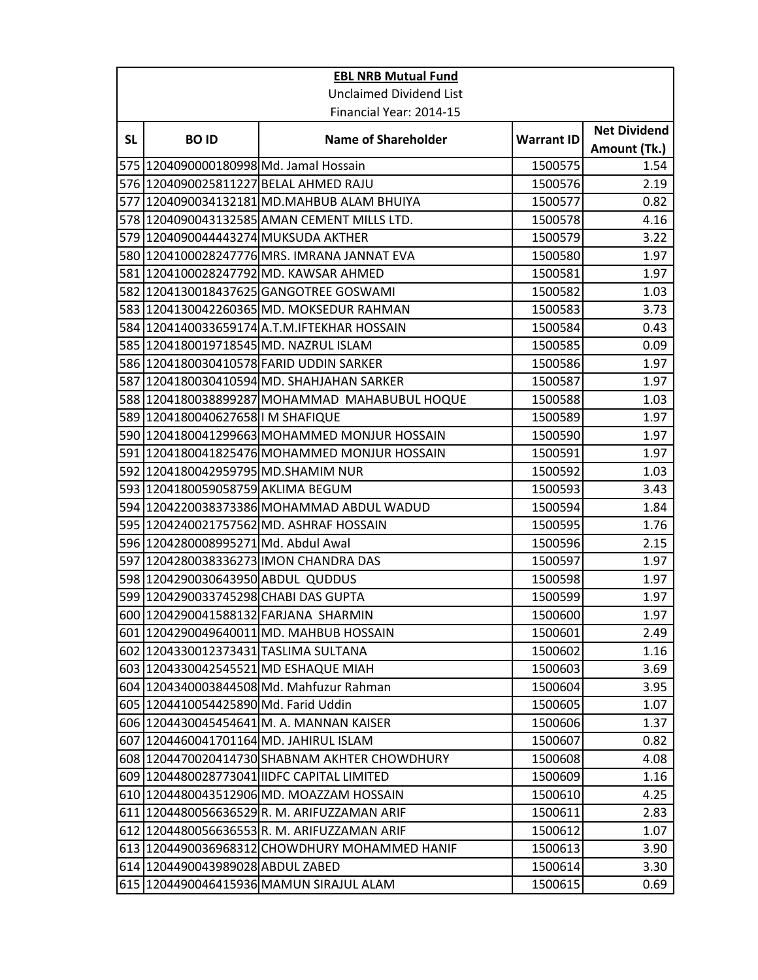| <b>EBL NRB Mutual Fund</b> |                                        |                                               |                   |                     |  |
|----------------------------|----------------------------------------|-----------------------------------------------|-------------------|---------------------|--|
|                            | <b>Unclaimed Dividend List</b>         |                                               |                   |                     |  |
|                            | Financial Year: 2014-15                |                                               |                   |                     |  |
| <b>SL</b>                  | <b>BOID</b>                            | <b>Name of Shareholder</b>                    | <b>Warrant ID</b> | <b>Net Dividend</b> |  |
|                            |                                        |                                               |                   | Amount (Tk.)        |  |
|                            | 575 1204090000180998 Md. Jamal Hossain |                                               | 1500575           | 1.54                |  |
|                            |                                        | 576 1204090025811227 BELAL AHMED RAJU         | 1500576           | 2.19                |  |
| 577                        |                                        | 1204090034132181 MD.MAHBUB ALAM BHUIYA        | 1500577           | 0.82                |  |
|                            |                                        | 578 1204090043132585 AMAN CEMENT MILLS LTD.   | 1500578           | 4.16                |  |
|                            | 579 1204090044443274 MUKSUDA AKTHER    |                                               | 1500579           | 3.22                |  |
|                            |                                        | 580 1204100028247776 MRS. IMRANA JANNAT EVA   | 1500580           | 1.97                |  |
|                            |                                        | 581   1204100028247792 MD. KAWSAR AHMED       | 1500581           | 1.97                |  |
|                            |                                        | 582 1204130018437625 GANGOTREE GOSWAMI        | 1500582           | 1.03                |  |
|                            |                                        | 583 1204130042260365 MD. MOKSEDUR RAHMAN      | 1500583           | 3.73                |  |
|                            |                                        | 584 1204140033659174 A.T.M. IFTEKHAR HOSSAIN  | 1500584           | 0.43                |  |
|                            | 585 1204180019718545 MD. NAZRUL ISLAM  |                                               | 1500585           | 0.09                |  |
|                            |                                        | 586 1204180030410578 FARID UDDIN SARKER       | 1500586           | 1.97                |  |
|                            |                                        | 587 1204180030410594 MD. SHAHJAHAN SARKER     | 1500587           | 1.97                |  |
|                            |                                        | 588 1204180038899287 MOHAMMAD MAHABUBUL HOQUE | 1500588           | 1.03                |  |
|                            | 589 1204180040627658 IM SHAFIQUE       |                                               | 1500589           | 1.97                |  |
|                            |                                        | 590 1204180041299663 MOHAMMED MONJUR HOSSAIN  | 1500590           | 1.97                |  |
|                            |                                        | 591 1204180041825476 MOHAMMED MONJUR HOSSAIN  | 1500591           | 1.97                |  |
|                            | 592 1204180042959795 MD.SHAMIM NUR     |                                               | 1500592           | 1.03                |  |
|                            | 593 1204180059058759 AKLIMA BEGUM      |                                               | 1500593           | 3.43                |  |
|                            |                                        | 594 1204220038373386 MOHAMMAD ABDUL WADUD     | 1500594           | 1.84                |  |
|                            |                                        | 595 1204240021757562 MD. ASHRAF HOSSAIN       | 1500595           | 1.76                |  |
|                            | 596 1204280008995271 Md. Abdul Awal    |                                               | 1500596           | 2.15                |  |
|                            |                                        | 597 1204280038336273 IMON CHANDRA DAS         | 1500597           | 1.97                |  |
|                            | 598 1204290030643950 ABDUL QUDDUS      |                                               | 1500598           | 1.97                |  |
|                            | 599 1204290033745298 CHABI DAS GUPTA   |                                               | 1500599           | 1.97                |  |
|                            |                                        | 600 1204290041588132 FARJANA SHARMIN          | 1500600           | 1.97                |  |
|                            |                                        | 601 1204290049640011 MD. MAHBUB HOSSAIN       | 1500601           | 2.49                |  |
|                            | 602 1204330012373431 TASLIMA SULTANA   |                                               | 1500602           | 1.16                |  |
|                            |                                        | 603 1204330042545521 MD ESHAQUE MIAH          | 1500603           | 3.69                |  |
|                            |                                        | 604 1204340003844508 Md. Mahfuzur Rahman      | 1500604           | 3.95                |  |
|                            | 605 1204410054425890 Md. Farid Uddin   |                                               | 1500605           | 1.07                |  |
|                            |                                        | 606 1204430045454641 M. A. MANNAN KAISER      | 1500606           | 1.37                |  |
|                            |                                        | 607 1204460041701164 MD. JAHIRUL ISLAM        | 1500607           | 0.82                |  |
|                            |                                        | 608 1204470020414730 SHABNAM AKHTER CHOWDHURY | 1500608           | 4.08                |  |
|                            |                                        | 609 1204480028773041 IIDFC CAPITAL LIMITED    | 1500609           | 1.16                |  |
|                            |                                        | 610 1204480043512906 MD. MOAZZAM HOSSAIN      | 1500610           | 4.25                |  |
|                            |                                        | 611 1204480056636529 R. M. ARIFUZZAMAN ARIF   | 1500611           | 2.83                |  |
|                            |                                        | 612 1204480056636553R. M. ARIFUZZAMAN ARIF    | 1500612           | 1.07                |  |
|                            |                                        | 613 1204490036968312 CHOWDHURY MOHAMMED HANIF | 1500613           | 3.90                |  |
|                            | 614 1204490043989028 ABDUL ZABED       |                                               | 1500614           | 3.30                |  |
|                            |                                        | 615 1204490046415936 MAMUN SIRAJUL ALAM       | 1500615           | 0.69                |  |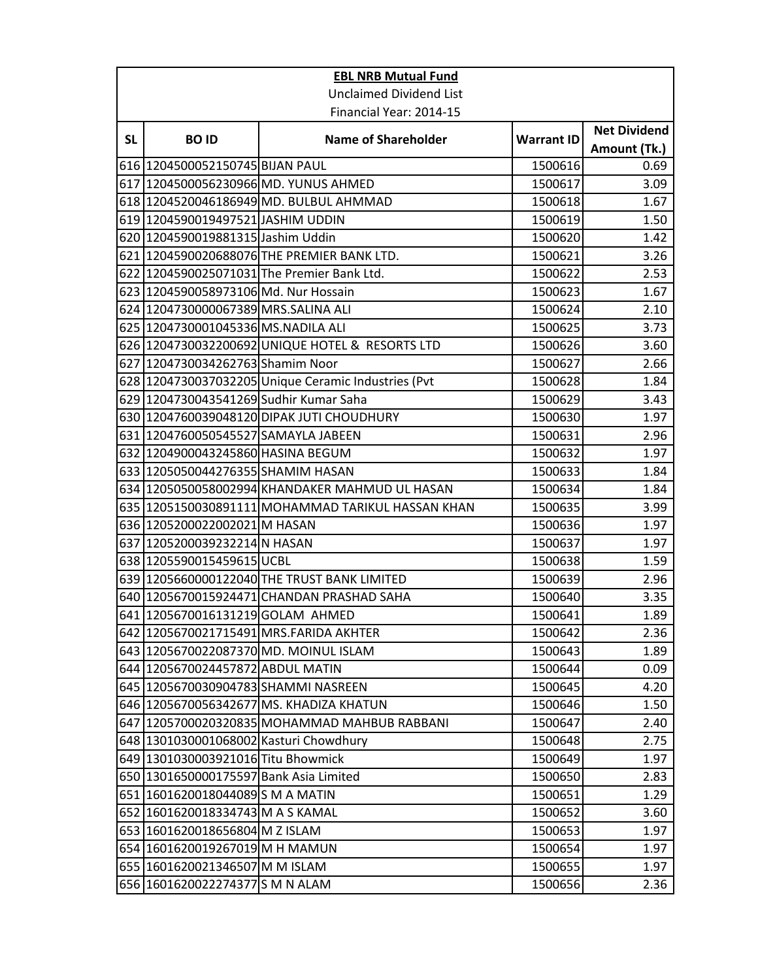| <b>EBL NRB Mutual Fund</b> |                                        |                                                     |                   |                     |  |
|----------------------------|----------------------------------------|-----------------------------------------------------|-------------------|---------------------|--|
|                            | <b>Unclaimed Dividend List</b>         |                                                     |                   |                     |  |
|                            | Financial Year: 2014-15                |                                                     |                   |                     |  |
|                            |                                        |                                                     |                   | <b>Net Dividend</b> |  |
| <b>SL</b>                  | <b>BOID</b>                            | <b>Name of Shareholder</b>                          | <b>Warrant ID</b> | Amount (Tk.)        |  |
|                            | 616 1204500052150745 BIJAN PAUL        |                                                     | 1500616           | 0.69                |  |
|                            |                                        | 617 1204500056230966 MD. YUNUS AHMED                | 1500617           | 3.09                |  |
|                            |                                        | 618 1204520046186949 MD. BULBUL AHMMAD              | 1500618           | 1.67                |  |
|                            | 619 1204590019497521 JASHIM UDDIN      |                                                     | 1500619           | 1.50                |  |
|                            | 620 1204590019881315 Jashim Uddin      |                                                     | 1500620           | 1.42                |  |
|                            |                                        | 621 1204590020688076 THE PREMIER BANK LTD.          | 1500621           | 3.26                |  |
|                            |                                        | 622 1204590025071031 The Premier Bank Ltd.          | 1500622           | 2.53                |  |
|                            | 623 1204590058973106 Md. Nur Hossain   |                                                     | 1500623           | 1.67                |  |
|                            | 624 1204730000067389 MRS.SALINA ALI    |                                                     | 1500624           | 2.10                |  |
|                            | 625 1204730001045336 MS.NADILA ALI     |                                                     | 1500625           | 3.73                |  |
|                            |                                        | 626 1204730032200692 UNIQUE HOTEL & RESORTS LTD     | 1500626           | 3.60                |  |
|                            | 627 1204730034262763 Shamim Noor       |                                                     | 1500627           | 2.66                |  |
|                            |                                        | 628 1204730037032205 Unique Ceramic Industries (Pvt | 1500628           | 1.84                |  |
|                            | 629 1204730043541269 Sudhir Kumar Saha |                                                     | 1500629           | 3.43                |  |
|                            |                                        | 630 1204760039048120 DIPAK JUTI CHOUDHURY           | 1500630           | 1.97                |  |
|                            | 631 1204760050545527 SAMAYLA JABEEN    |                                                     | 1500631           | 2.96                |  |
|                            | 632 1204900043245860 HASINA BEGUM      |                                                     | 1500632           | 1.97                |  |
|                            | 633 1205050044276355 SHAMIM HASAN      |                                                     | 1500633           | 1.84                |  |
|                            |                                        | 634 1205050058002994 KHANDAKER MAHMUD UL HASAN      | 1500634           | 1.84                |  |
|                            |                                        | 635 1205150030891111 MOHAMMAD TARIKUL HASSAN KHAN   | 1500635           | 3.99                |  |
|                            | 636 1205200022002021 M HASAN           |                                                     | 1500636           | 1.97                |  |
|                            | 637 1205200039232214 N HASAN           |                                                     | 1500637           | 1.97                |  |
|                            | 638 1205590015459615 UCBL              |                                                     | 1500638           | 1.59                |  |
|                            |                                        | 639 1205660000122040 THE TRUST BANK LIMITED         | 1500639           | 2.96                |  |
|                            |                                        | 640 1205670015924471 CHANDAN PRASHAD SAHA           | 1500640           | 3.35                |  |
|                            | 641 1205670016131219 GOLAM AHMED       |                                                     | 1500641           | 1.89                |  |
|                            |                                        | 642 1205670021715491 MRS.FARIDA AKHTER              | 1500642           | 2.36                |  |
|                            |                                        | 643 1205670022087370 MD. MOINUL ISLAM               | 1500643           | 1.89                |  |
|                            | 644 1205670024457872 ABDUL MATIN       |                                                     | 1500644           | 0.09                |  |
|                            | 645  1205670030904783 SHAMMI NASREEN   |                                                     | 1500645           | 4.20                |  |
|                            |                                        | 646 1205670056342677 MS. KHADIZA KHATUN             | 1500646           | 1.50                |  |
|                            |                                        | 647 1205700020320835 MOHAMMAD MAHBUB RABBANI        | 1500647           | 2.40                |  |
|                            | 648 1301030001068002 Kasturi Chowdhury |                                                     | 1500648           | 2.75                |  |
|                            | 649 1301030003921016 Titu Bhowmick     |                                                     | 1500649           | 1.97                |  |
|                            | 650 1301650000175597 Bank Asia Limited |                                                     | 1500650           | 2.83                |  |
|                            | 651 1601620018044089 S M A MATIN       |                                                     | 1500651           | 1.29                |  |
|                            | 652 1601620018334743 M A S KAMAL       |                                                     | 1500652           | 3.60                |  |
|                            | 653 1601620018656804 M Z ISLAM         |                                                     | 1500653           | 1.97                |  |
|                            | 654 1601620019267019 M H MAMUN         |                                                     | 1500654           | 1.97                |  |
|                            | 655 1601620021346507 M M ISLAM         |                                                     | 1500655           | 1.97                |  |
|                            | 656 1601620022274377 S M N ALAM        |                                                     | 1500656           | 2.36                |  |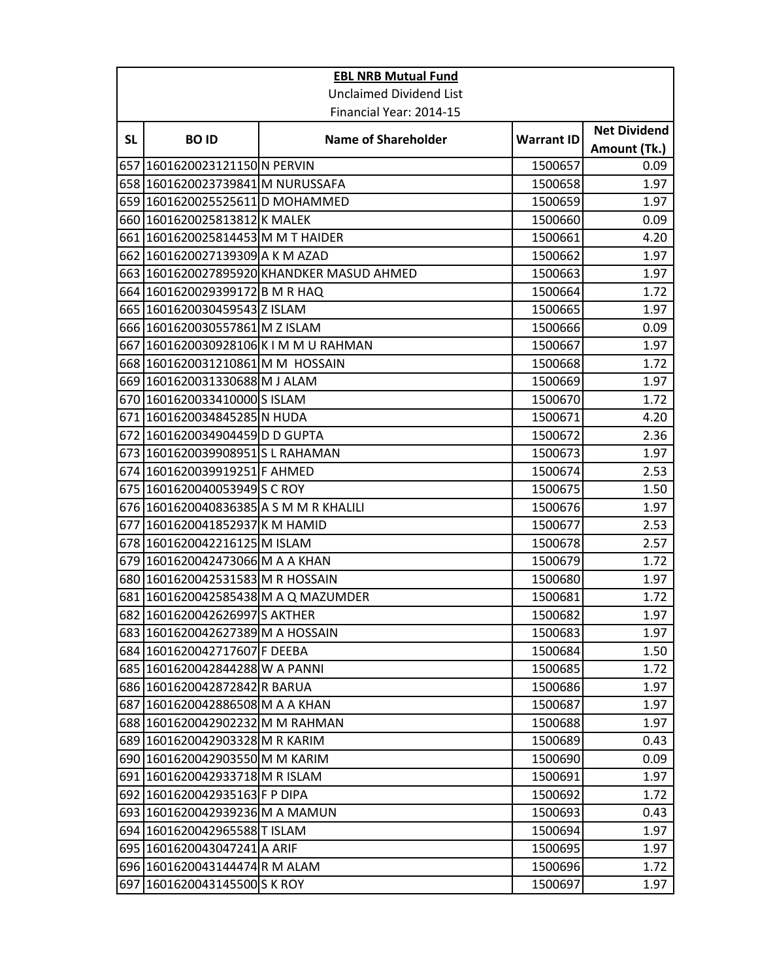| <b>Net Dividend</b><br>Amount (Tk.)<br>0.09<br>1.97<br>1.97<br>0.09<br>4.20<br>1.97<br>1.97<br>1.72<br>1.97<br>0.09 |
|---------------------------------------------------------------------------------------------------------------------|
|                                                                                                                     |
|                                                                                                                     |
|                                                                                                                     |
|                                                                                                                     |
|                                                                                                                     |
|                                                                                                                     |
|                                                                                                                     |
|                                                                                                                     |
|                                                                                                                     |
|                                                                                                                     |
|                                                                                                                     |
|                                                                                                                     |
|                                                                                                                     |
|                                                                                                                     |
| 1.97                                                                                                                |
| 1.72                                                                                                                |
| 1.97                                                                                                                |
| 1.72                                                                                                                |
| 4.20                                                                                                                |
| 2.36                                                                                                                |
| 1.97                                                                                                                |
| 2.53                                                                                                                |
| 1.50                                                                                                                |
| 1.97                                                                                                                |
| 2.53                                                                                                                |
| 2.57                                                                                                                |
| 1.72                                                                                                                |
| 1.97                                                                                                                |
| 1.72                                                                                                                |
| 1.97                                                                                                                |
| 1.97                                                                                                                |
| 1.50                                                                                                                |
| 1.72                                                                                                                |
| 1.97                                                                                                                |
| 1.97                                                                                                                |
| 1.97                                                                                                                |
| 0.43                                                                                                                |
| 0.09                                                                                                                |
| 1.97                                                                                                                |
| 1.72                                                                                                                |
| 0.43                                                                                                                |
| 1.97                                                                                                                |
| 1.97                                                                                                                |
| 1.72                                                                                                                |
| 1.97                                                                                                                |
|                                                                                                                     |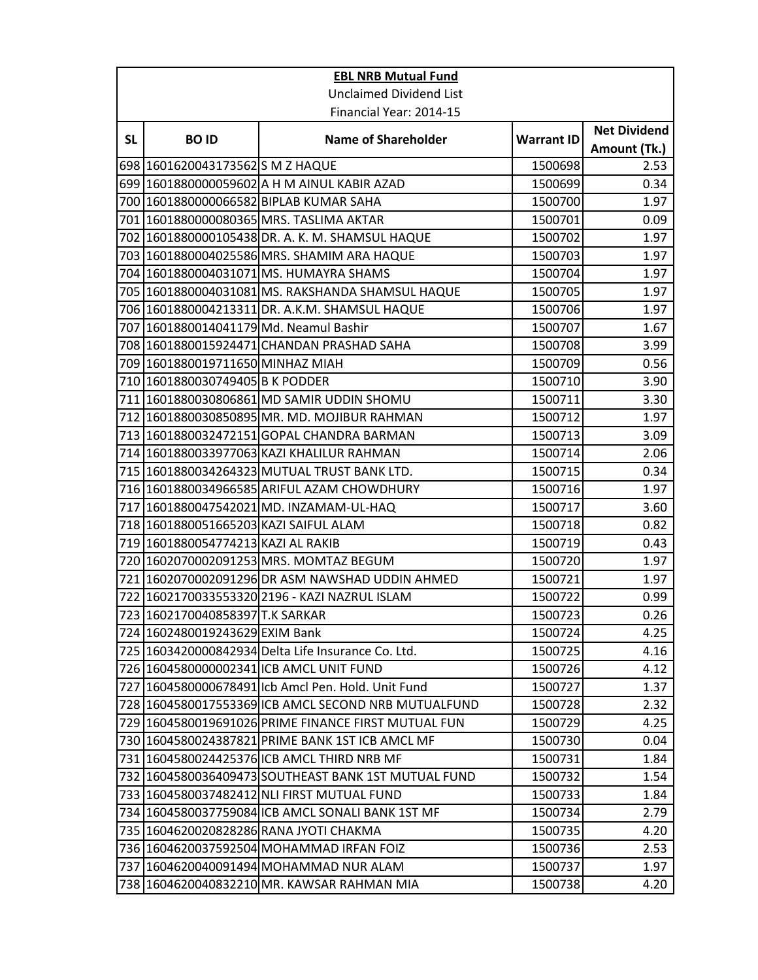| <b>EBL NRB Mutual Fund</b> |                                           |                                                     |                   |                                     |  |
|----------------------------|-------------------------------------------|-----------------------------------------------------|-------------------|-------------------------------------|--|
|                            | <b>Unclaimed Dividend List</b>            |                                                     |                   |                                     |  |
|                            | Financial Year: 2014-15                   |                                                     |                   |                                     |  |
| <b>SL</b>                  | <b>BOID</b>                               | <b>Name of Shareholder</b>                          | <b>Warrant ID</b> | <b>Net Dividend</b><br>Amount (Tk.) |  |
|                            | 698 1601620043173562 S M Z HAQUE          |                                                     | 1500698           | 2.53                                |  |
|                            |                                           | 699 1601880000059602 A H M AINUL KABIR AZAD         | 1500699           | 0.34                                |  |
|                            |                                           | 700  1601880000066582 BIPLAB KUMAR SAHA             | 1500700           | 1.97                                |  |
|                            |                                           | 701  1601880000080365 MRS. TASLIMA AKTAR            | 1500701           | 0.09                                |  |
|                            |                                           | 702  1601880000105438 DR. A. K. M. SHAMSUL HAQUE    | 1500702           | 1.97                                |  |
|                            |                                           | 703 1601880004025586 MRS. SHAMIM ARA HAQUE          | 1500703           | 1.97                                |  |
|                            |                                           | 704 1601880004031071 MS. HUMAYRA SHAMS              | 1500704           | 1.97                                |  |
|                            |                                           | 705  1601880004031081 MS. RAKSHANDA SHAMSUL HAQUE   | 1500705           | 1.97                                |  |
|                            |                                           | 706 1601880004213311 DR. A.K.M. SHAMSUL HAQUE       | 1500706           | 1.97                                |  |
|                            | 707 1601880014041179 Md. Neamul Bashir    |                                                     | 1500707           | 1.67                                |  |
|                            |                                           | 708 1601880015924471 CHANDAN PRASHAD SAHA           | 1500708           | 3.99                                |  |
|                            | 709 1601880019711650 MINHAZ MIAH          |                                                     | 1500709           | 0.56                                |  |
|                            | 710 1601880030749405 B K PODDER           |                                                     | 1500710           | 3.90                                |  |
|                            |                                           | 711 1601880030806861 MD SAMIR UDDIN SHOMU           | 1500711           | 3.30                                |  |
|                            |                                           | 712 1601880030850895 MR. MD. MOJIBUR RAHMAN         | 1500712           | 1.97                                |  |
|                            |                                           | 713 1601880032472151 GOPAL CHANDRA BARMAN           | 1500713           | 3.09                                |  |
|                            |                                           | 714  1601880033977063 KAZI KHALILUR RAHMAN          | 1500714           | 2.06                                |  |
|                            |                                           | 715 1601880034264323 MUTUAL TRUST BANK LTD.         | 1500715           | 0.34                                |  |
|                            |                                           | 716 1601880034966585 ARIFUL AZAM CHOWDHURY          | 1500716           | 1.97                                |  |
|                            |                                           | 717 1601880047542021 MD. INZAMAM-UL-HAQ             | 1500717           | 3.60                                |  |
|                            | 718   1601880051665203   KAZI SAIFUL ALAM |                                                     | 1500718           | 0.82                                |  |
|                            | 719   1601880054774213 KAZI AL RAKIB      |                                                     | 1500719           | 0.43                                |  |
|                            |                                           | 720 1602070002091253 MRS. MOMTAZ BEGUM              | 1500720           | 1.97                                |  |
|                            |                                           | 721 1602070002091296 DR ASM NAWSHAD UDDIN AHMED     | 1500721           | 1.97                                |  |
|                            |                                           | 722  1602170033553320 2196 - KAZI NAZRUL ISLAM      | 1500722           | 0.99                                |  |
|                            | 723 1602170040858397 T.K SARKAR           |                                                     | 1500723           | 0.26                                |  |
|                            | 724 1602480019243629 EXIM Bank            |                                                     | 1500724           | 4.25                                |  |
|                            |                                           | 725 1603420000842934 Delta Life Insurance Co. Ltd.  | 1500725           | 4.16                                |  |
|                            |                                           | 726 1604580000002341 ICB AMCL UNIT FUND             | 1500726           | 4.12                                |  |
|                            |                                           | 727 1604580000678491 Icb Amcl Pen. Hold. Unit Fund  | 1500727           | 1.37                                |  |
|                            |                                           | 728 1604580017553369 ICB AMCL SECOND NRB MUTUALFUND | 1500728           | 2.32                                |  |
|                            |                                           | 729 1604580019691026 PRIME FINANCE FIRST MUTUAL FUN | 1500729           | 4.25                                |  |
|                            |                                           | 730 1604580024387821 PRIME BANK 1ST ICB AMCL MF     | 1500730           | 0.04                                |  |
|                            |                                           | 731 1604580024425376 ICB AMCL THIRD NRB MF          | 1500731           | 1.84                                |  |
|                            |                                           | 732 1604580036409473 SOUTHEAST BANK 1ST MUTUAL FUND | 1500732           | 1.54                                |  |
|                            |                                           | 733  1604580037482412 NLI FIRST MUTUAL FUND         | 1500733           | 1.84                                |  |
|                            |                                           | 734 1604580037759084 ICB AMCL SONALI BANK 1ST MF    | 1500734           | 2.79                                |  |
|                            |                                           | 735 1604620020828286 RANA JYOTI CHAKMA              | 1500735           | 4.20                                |  |
|                            |                                           | 736 1604620037592504 MOHAMMAD IRFAN FOIZ            | 1500736           | 2.53                                |  |
|                            |                                           | 737   1604620040091494   MOHAMMAD NUR ALAM          | 1500737           | 1.97                                |  |
|                            |                                           | 738 1604620040832210 MR. KAWSAR RAHMAN MIA          | 1500738           | 4.20                                |  |